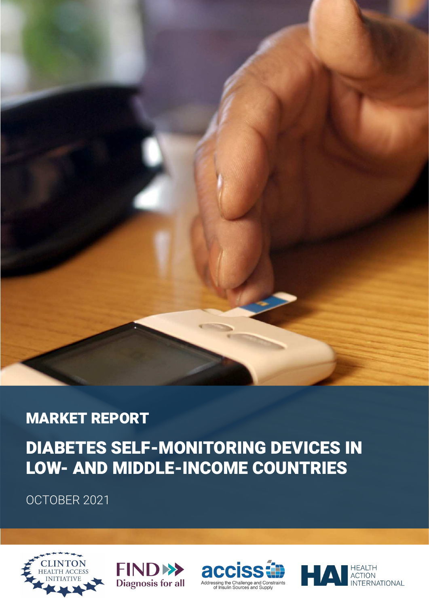

# MARKET REPORT

# DIABETES SELF-MONITORING DEVICES IN LOW- AND MIDDLE-INCOME COUNTRIES

OCTOBER 2021







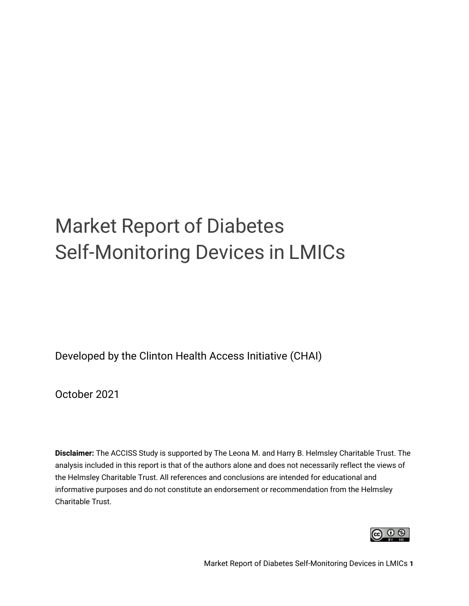# Market Report of Diabetes Self-Monitoring Devices in LMICs

Developed by the Clinton Health Access Initiative (CHAI)

October 2021

**Disclaimer:** The ACCISS Study is supported by The Leona M. and Harry B. Helmsley Charitable Trust. The analysis included in this report is that of the authors alone and does not necessarily reflect the views of the Helmsley Charitable Trust. All references and conclusions are intended for educational and informative purposes and do not constitute an endorsement or recommendation from the Helmsley Charitable Trust.

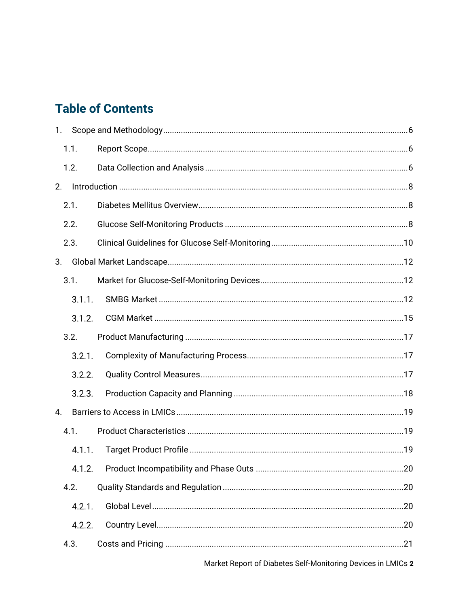# **Table of Contents**

| 1. |        |  |
|----|--------|--|
|    | 1.1.   |  |
|    | 1.2.   |  |
| 2. |        |  |
|    | 2.1.   |  |
|    | 2.2.   |  |
|    | 2.3.   |  |
| 3. |        |  |
|    | 3.1.   |  |
|    | 3.1.1. |  |
|    | 3.1.2. |  |
|    | 3.2.   |  |
|    | 3.2.1. |  |
|    | 3.2.2. |  |
|    | 3.2.3. |  |
| 4. |        |  |
|    | 4.1.   |  |
|    | 4.1.1. |  |
|    |        |  |
|    | 4.2.   |  |
|    | 4.2.1. |  |
|    | 4.2.2. |  |
|    | 4.3.   |  |
|    |        |  |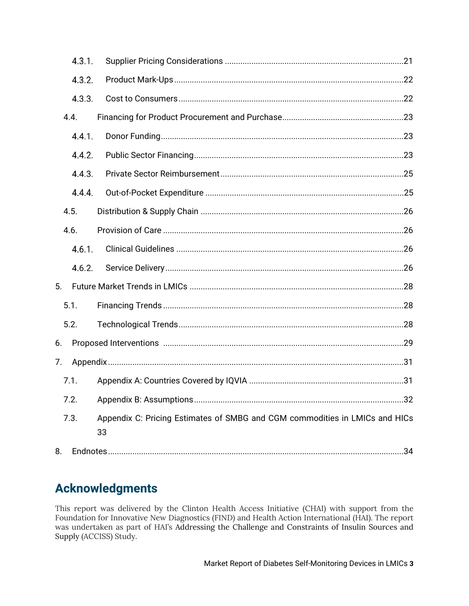|    | 4.3.1. |                                                                                   |  |
|----|--------|-----------------------------------------------------------------------------------|--|
|    | 4.3.2. |                                                                                   |  |
|    | 4.3.3. |                                                                                   |  |
|    | 4.4.   |                                                                                   |  |
|    | 4.4.1. |                                                                                   |  |
|    | 4.4.2. |                                                                                   |  |
|    | 4.4.3. |                                                                                   |  |
|    | 4.4.4. |                                                                                   |  |
|    | 4.5.   |                                                                                   |  |
|    | 4.6.   |                                                                                   |  |
|    | 4.6.1. |                                                                                   |  |
|    | 4.6.2. |                                                                                   |  |
| 5. |        |                                                                                   |  |
|    | 5.1.   |                                                                                   |  |
|    | 5.2.   |                                                                                   |  |
| 6. |        |                                                                                   |  |
| 7. |        |                                                                                   |  |
|    | 7.1.   |                                                                                   |  |
|    | 7.2.   |                                                                                   |  |
|    | 7.3.   | Appendix C: Pricing Estimates of SMBG and CGM commodities in LMICs and HICs<br>33 |  |
| 8. |        |                                                                                   |  |

### **Acknowledgments**

This report was delivered by the Clinton Health Access Initiative (CHAI) with support from the Foundation for Innovative New Diagnostics (FIND) and Health Action International (HAI). The report was undertaken as part of HAI's Addressing the Challenge and Constraints of Insulin Sources and Supply (ACCISS) Study.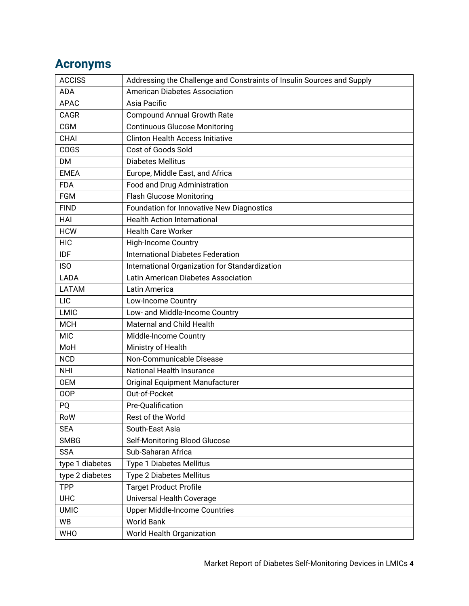# **Acronyms**

| <b>ACCISS</b>   | Addressing the Challenge and Constraints of Insulin Sources and Supply |
|-----------------|------------------------------------------------------------------------|
| <b>ADA</b>      | <b>American Diabetes Association</b>                                   |
| <b>APAC</b>     | Asia Pacific                                                           |
| CAGR            | <b>Compound Annual Growth Rate</b>                                     |
| <b>CGM</b>      | <b>Continuous Glucose Monitoring</b>                                   |
| <b>CHAI</b>     | <b>Clinton Health Access Initiative</b>                                |
| COGS            | Cost of Goods Sold                                                     |
| <b>DM</b>       | <b>Diabetes Mellitus</b>                                               |
| <b>EMEA</b>     | Europe, Middle East, and Africa                                        |
| <b>FDA</b>      | Food and Drug Administration                                           |
| <b>FGM</b>      | <b>Flash Glucose Monitoring</b>                                        |
| <b>FIND</b>     | Foundation for Innovative New Diagnostics                              |
| HAI             | <b>Health Action International</b>                                     |
| <b>HCW</b>      | <b>Health Care Worker</b>                                              |
| <b>HIC</b>      | <b>High-Income Country</b>                                             |
| <b>IDF</b>      | <b>International Diabetes Federation</b>                               |
| <b>ISO</b>      | International Organization for Standardization                         |
| LADA            | Latin American Diabetes Association                                    |
| LATAM           | Latin America                                                          |
| <b>LIC</b>      | Low-Income Country                                                     |
| LMIC            | Low- and Middle-Income Country                                         |
| <b>MCH</b>      | Maternal and Child Health                                              |
| <b>MIC</b>      | Middle-Income Country                                                  |
| MoH             | Ministry of Health                                                     |
| <b>NCD</b>      | Non-Communicable Disease                                               |
| <b>NHI</b>      | National Health Insurance                                              |
| <b>OEM</b>      | Original Equipment Manufacturer                                        |
| <b>OOP</b>      | Out-of-Pocket                                                          |
| PQ              | Pre-Qualification                                                      |
| RoW             | Rest of the World                                                      |
| <b>SEA</b>      | South-East Asia                                                        |
| <b>SMBG</b>     | Self-Monitoring Blood Glucose                                          |
| <b>SSA</b>      | Sub-Saharan Africa                                                     |
| type 1 diabetes | Type 1 Diabetes Mellitus                                               |
| type 2 diabetes | Type 2 Diabetes Mellitus                                               |
| <b>TPP</b>      | <b>Target Product Profile</b>                                          |
| <b>UHC</b>      | Universal Health Coverage                                              |
| <b>UMIC</b>     | <b>Upper Middle-Income Countries</b>                                   |
| <b>WB</b>       | <b>World Bank</b>                                                      |
| <b>WHO</b>      | World Health Organization                                              |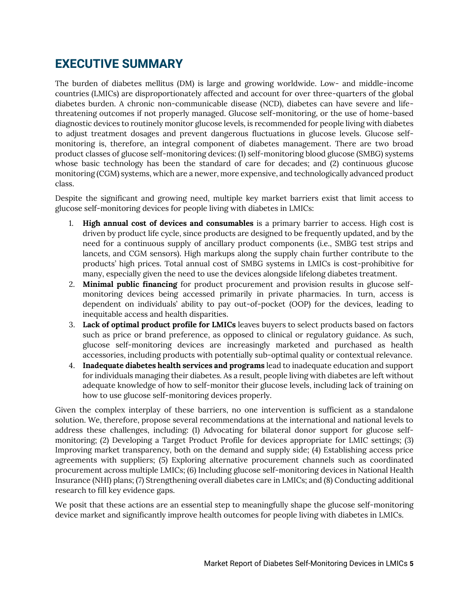### **EXECUTIVE SUMMARY**

The burden of diabetes mellitus (DM) is large and growing worldwide. Low- and middle-income countries (LMICs) are disproportionately affected and account for over three-quarters of the global diabetes burden. A chronic non-communicable disease (NCD), diabetes can have severe and lifethreatening outcomes if not properly managed. Glucose self-monitoring, or the use of home-based diagnostic devices to routinely monitor glucose levels, is recommended for people living with diabetes to adjust treatment dosages and prevent dangerous fluctuations in glucose levels. Glucose selfmonitoring is, therefore, an integral component of diabetes management. There are two broad product classes of glucose self-monitoring devices: (1) self-monitoring blood glucose (SMBG) systems whose basic technology has been the standard of care for decades; and (2) continuous glucose monitoring (CGM) systems, which are a newer, more expensive, and technologically advanced product class.

Despite the significant and growing need, multiple key market barriers exist that limit access to glucose self-monitoring devices for people living with diabetes in LMICs:

- 1. **High annual cost of devices and consumables** is a primary barrier to access. High cost is driven by product life cycle, since products are designed to be frequently updated, and by the need for a continuous supply of ancillary product components (i.e., SMBG test strips and lancets, and CGM sensors). High markups along the supply chain further contribute to the products' high prices. Total annual cost of SMBG systems in LMICs is cost-prohibitive for many, especially given the need to use the devices alongside lifelong diabetes treatment.
- 2. **Minimal public financing** for product procurement and provision results in glucose selfmonitoring devices being accessed primarily in private pharmacies. In turn, access is dependent on individuals' ability to pay out-of-pocket (OOP) for the devices, leading to inequitable access and health disparities.
- 3. **Lack of optimal product profile for LMICs** leaves buyers to select products based on factors such as price or brand preference, as opposed to clinical or regulatory guidance. As such, glucose self-monitoring devices are increasingly marketed and purchased as health accessories, including products with potentially sub-optimal quality or contextual relevance.
- 4. **Inadequate diabetes health services and programs** lead to inadequate education and support for individuals managing their diabetes. As a result, people living with diabetes are left without adequate knowledge of how to self-monitor their glucose levels, including lack of training on how to use glucose self-monitoring devices properly.

Given the complex interplay of these barriers, no one intervention is sufficient as a standalone solution. We, therefore, propose several recommendations at the international and national levels to address these challenges, including: (1) Advocating for bilateral donor support for glucose selfmonitoring; (2) Developing a Target Product Profile for devices appropriate for LMIC settings; (3) Improving market transparency, both on the demand and supply side; (4) Establishing access price agreements with suppliers; (5) Exploring alternative procurement channels such as coordinated procurement across multiple LMICs; (6) Including glucose self-monitoring devices in National Health Insurance (NHI) plans; (7) Strengthening overall diabetes care in LMICs; and (8) Conducting additional research to fill key evidence gaps.

We posit that these actions are an essential step to meaningfully shape the glucose self-monitoring device market and significantly improve health outcomes for people living with diabetes in LMICs.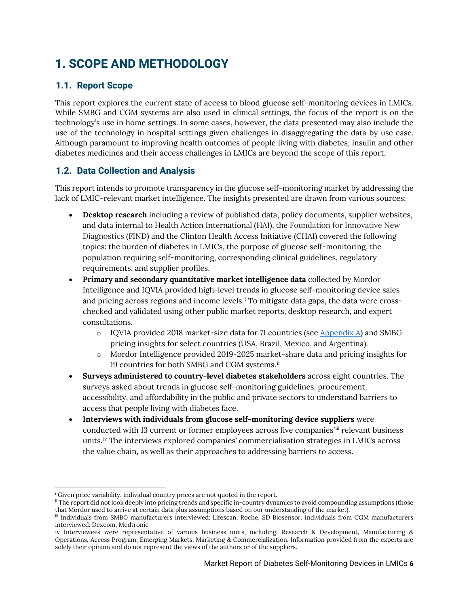# <span id="page-6-0"></span>**1. SCOPE AND METHODOLOGY**

#### <span id="page-6-1"></span>**1.1. Report Scope**

This report explores the current state of access to blood glucose self-monitoring devices in LMICs. While SMBG and CGM systems are also used in clinical settings, the focus of the report is on the technology's use in home settings. In some cases, however, the data presented may also include the use of the technology in hospital settings given challenges in disaggregating the data by use case. Although paramount to improving health outcomes of people living with diabetes, insulin and other diabetes medicines and their access challenges in LMICs are beyond the scope of this report.

#### <span id="page-6-2"></span>**1.2. Data Collection and Analysis**

This report intends to promote transparency in the glucose self-monitoring market by addressing the lack of LMIC-relevant market intelligence. The insights presented are drawn from various sources:

- **Desktop research** including a review of published data, policy documents, supplier websites, and data internal to Health Action International (HAI), the Foundation for Innovative New Diagnostics (FIND) and the Clinton Health Access Initiative (CHAI) covered the following topics: the burden of diabetes in LMICs, the purpose of glucose self-monitoring, the population requiring self-monitoring, corresponding clinical guidelines, regulatory requirements, and supplier profiles.
- **Primary and secondary quantitative market intelligence data** collected by Mordor Intelligence and IQVIA provided high-level trends in glucose self-monitoring device sales and pricing across regions and income levels. $^{\rm i}$  To mitigate data gaps, the data were crosschecked and validated using other public market reports, desktop research, and expert consultations.
	- $\circ$  IQVIA provided 2018 market-size data for 71 countries (see [Appendix A\)](#page-31-1) and SMBG pricing insights for select countries (USA, Brazil, Mexico, and Argentina).
	- o Mordor Intelligence provided 2019-2025 market-share data and pricing insights for 19 countries for both SMBG and CGM systems. $^{\mathrm{ii}}$
- **Surveys administered to country-level diabetes stakeholders** across eight countries. The surveys asked about trends in glucose self-monitoring guidelines, procurement, accessibility, and affordability in the public and private sectors to understand barriers to access that people living with diabetes face.
- **Interviews with individuals from glucose self-monitoring device suppliers** were conducted with 13 current or former employees across five companies'iii relevant business units.<sup>iv</sup> The interviews explored companies' commercialisation strategies in LMICs across the value chain, as well as their approaches to addressing barriers to access.

i Given price variability, individual country prices are not quoted in the report.

<sup>&</sup>lt;sup>ii</sup> The report did not look deeply into pricing trends and specific in-country dynamics to avoid compounding assumptions (those that Mordor used to arrive at certain data plus assumptions based on our understanding of the market).

iii Individuals from SMBG manufacturers interviewed: Lifescan, Roche, SD Biosensor. Individuals from CGM manufacturers interviewed: Dexcom, Medtronic

iv Interviewees were representative of various business units, including: Research & Development, Manufacturing & Operations, Access Program, Emerging Markets, Marketing & Commercialization. Information provided from the experts are solely their opinion and do not represent the views of the authors or of the suppliers.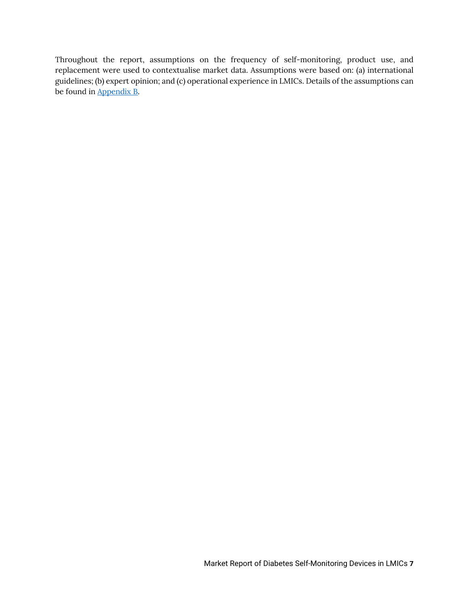Throughout the report, assumptions on the frequency of self-monitoring, product use, and replacement were used to contextualise market data. Assumptions were based on: (a) international guidelines; (b) expert opinion; and (c) operational experience in LMICs. Details of the assumptions can be found in [Appendix B.](#page-32-0)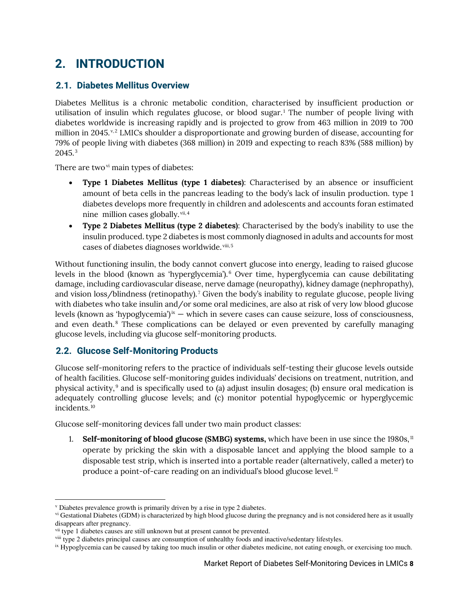## <span id="page-8-0"></span>**2. INTRODUCTION**

#### <span id="page-8-1"></span>**2.1. Diabetes Mellitus Overview**

Diabetes Mellitus is a chronic metabolic condition, characterised by insufficient production or utilisation of insulin which regulates glucose, or blood sugar.<sup>1</sup> The number of people living with diabetes worldwide is increasing rapidly and is projected to grow from 463 million in 2019 to 700 million in 2045. $v, 2$  LMICs shoulder a disproportionate and growing burden of disease, accounting for 79% of people living with diabetes (368 million) in 2019 and expecting to reach 83% (588 million) by  $2045.^3$ 

There are two $\mathrm{v}^{\mathrm{i}}$  main types of diabetes:

- **Type 1 Diabetes Mellitus (type 1 diabetes)**: Characterised by an absence or insufficient amount of beta cells in the pancreas leading to the body's lack of insulin production. type 1 diabetes develops more frequently in children and adolescents and accounts foran estimated nine million cases globally. <sup>vii,4</sup>
- **Type 2 Diabetes Mellitus (type 2 diabetes)**: Characterised by the body's inability to use the insulin produced. type 2 diabetes is most commonly diagnosed in adults and accounts for most cases of diabetes diagnoses worldwide.<sup>viii, 5</sup>

Without functioning insulin, the body cannot convert glucose into energy, leading to raised glucose levels in the blood (known as 'hyperglycemia').<sup>6</sup> Over time, hyperglycemia can cause debilitating damage, including cardiovascular disease, nerve damage (neuropathy), kidney damage (nephropathy), and vision loss/blindness (retinopathy).<sup>7</sup> Given the body's inability to regulate glucose, people living with diabetes who take insulin and/or some oral medicines, are also at risk of very low blood glucose levels (known as 'hypoglycemia') $\infty$  – which in severe cases can cause seizure, loss of consciousness, and even death.<sup>8</sup> These complications can be delayed or even prevented by carefully managing glucose levels, including via glucose self-monitoring products.

#### <span id="page-8-2"></span>**2.2. Glucose Self-Monitoring Products**

Glucose self-monitoring refers to the practice of individuals self-testing their glucose levels outside of health facilities. Glucose self-monitoring guides individuals' decisions on treatment, nutrition, and physical activity, $^9$  and is specifically used to (a) adjust insulin dosages; (b) ensure oral medication is adequately controlling glucose levels; and (c) monitor potential hypoglycemic or hyperglycemic incidents.<sup>10</sup>

Glucose self-monitoring devices fall under two main product classes:

1. **Self-monitoring of blood glucose (SMBG) systems,** which have been in use since the 1980s, <sup>11</sup> operate by pricking the skin with a disposable lancet and applying the blood sample to a disposable test strip, which is inserted into a portable reader (alternatively, called a meter) to produce a point-of-care reading on an individual's blood glucose level. $^{12}$ 

v Diabetes prevalence growth is primarily driven by a rise in type 2 diabetes.

vi Gestational Diabetes (GDM) is characterized by high blood glucose during the pregnancy and is not considered here as it usually disappears after pregnancy.

<sup>&</sup>lt;sup>vii</sup> type 1 diabetes causes are still unknown but at present cannot be prevented.

viii type 2 diabetes principal causes are consumption of unhealthy foods and inactive/sedentary lifestyles.

ix Hypoglycemia can be caused by taking too much insulin or other diabetes medicine, not eating enough, or exercising too much.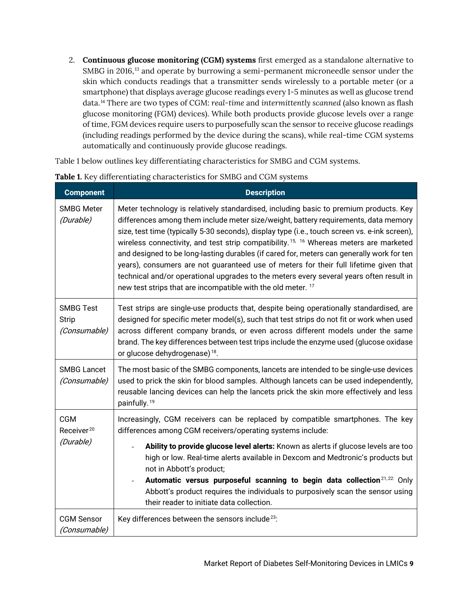2. **Continuous glucose monitoring (CGM) systems** first emerged as a standalone alternative to SMBG in 2016,<sup>13</sup> and operate by burrowing a semi-permanent microneedle sensor under the skin which conducts readings that a transmitter sends wirelessly to a portable meter (or a smartphone) that displays average glucose readings every 1-5 minutes as well as glucose trend data.<sup>14</sup> There are two types of CGM: *real-time* and *intermittently scanned (*also known as flash glucose monitoring (FGM) devices). While both products provide glucose levels over a range of time, FGM devices require users to purposefully scan the sensor to receive glucose readings (including readings performed by the device during the scans), while real-time CGM systems automatically and continuously provide glucose readings.

Table 1 below outlines key differentiating characteristics for SMBG and CGM systems.

| <b>Component</b>                                 | <b>Description</b>                                                                                                                                                                                                                                                                                                                                                                                                                                                                                                                                                                                                                                                                                                                   |
|--------------------------------------------------|--------------------------------------------------------------------------------------------------------------------------------------------------------------------------------------------------------------------------------------------------------------------------------------------------------------------------------------------------------------------------------------------------------------------------------------------------------------------------------------------------------------------------------------------------------------------------------------------------------------------------------------------------------------------------------------------------------------------------------------|
| <b>SMBG Meter</b><br>(Durable)                   | Meter technology is relatively standardised, including basic to premium products. Key<br>differences among them include meter size/weight, battery requirements, data memory<br>size, test time (typically 5-30 seconds), display type (i.e., touch screen vs. e-ink screen),<br>wireless connectivity, and test strip compatibility. <sup>15, 16</sup> Whereas meters are marketed<br>and designed to be long-lasting durables (if cared for, meters can generally work for ten<br>years), consumers are not guaranteed use of meters for their full lifetime given that<br>technical and/or operational upgrades to the meters every several years often result in<br>new test strips that are incompatible with the old meter. 17 |
| <b>SMBG Test</b><br><b>Strip</b><br>(Consumable) | Test strips are single-use products that, despite being operationally standardised, are<br>designed for specific meter model(s), such that test strips do not fit or work when used<br>across different company brands, or even across different models under the same<br>brand. The key differences between test trips include the enzyme used (glucose oxidase<br>or glucose dehydrogenase) <sup>18</sup> .                                                                                                                                                                                                                                                                                                                        |
| <b>SMBG Lancet</b><br>(Consumable)               | The most basic of the SMBG components, lancets are intended to be single-use devices<br>used to prick the skin for blood samples. Although lancets can be used independently,<br>reusable lancing devices can help the lancets prick the skin more effectively and less<br>painfully. <sup>19</sup>                                                                                                                                                                                                                                                                                                                                                                                                                                  |
| <b>CGM</b><br>Receiver <sup>20</sup>             | Increasingly, CGM receivers can be replaced by compatible smartphones. The key<br>differences among CGM receivers/operating systems include:                                                                                                                                                                                                                                                                                                                                                                                                                                                                                                                                                                                         |
| (Durable)                                        | Ability to provide glucose level alerts: Known as alerts if glucose levels are too<br>high or low. Real-time alerts available in Dexcom and Medtronic's products but<br>not in Abbott's product;<br>Automatic versus purposeful scanning to begin data collection <sup>21,22:</sup> Only<br>Abbott's product requires the individuals to purposively scan the sensor using<br>their reader to initiate data collection.                                                                                                                                                                                                                                                                                                              |
| <b>CGM Sensor</b><br>(Consumable)                | Key differences between the sensors include <sup>23</sup> :                                                                                                                                                                                                                                                                                                                                                                                                                                                                                                                                                                                                                                                                          |

**Table 1.** Key differentiating characteristics for SMBG and CGM systems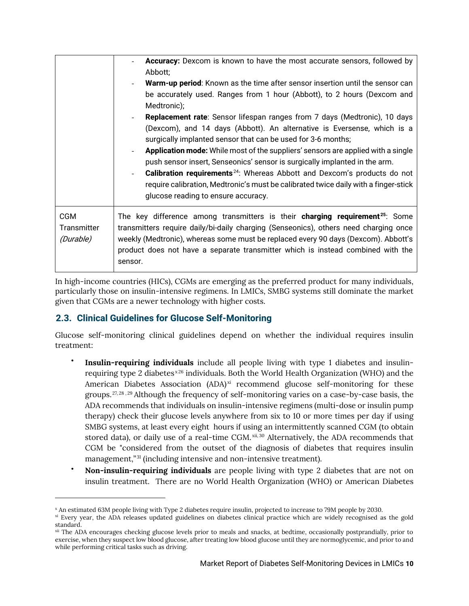|                                        | <b>Accuracy:</b> Dexcom is known to have the most accurate sensors, followed by<br>Abbott;<br>Warm-up period: Known as the time after sensor insertion until the sensor can<br>be accurately used. Ranges from 1 hour (Abbott), to 2 hours (Dexcom and<br>Medtronic);<br><b>Replacement rate:</b> Sensor lifespan ranges from 7 days (Medtronic), 10 days<br>(Dexcom), and 14 days (Abbott). An alternative is Eversense, which is a<br>surgically implanted sensor that can be used for 3-6 months;<br><b>Application mode:</b> While most of the suppliers' sensors are applied with a single<br>push sensor insert, Senseonics' sensor is surgically implanted in the arm.<br><b>Calibration requirements</b> <sup>24</sup> : Whereas Abbott and Dexcom's products do not<br>require calibration, Medtronic's must be calibrated twice daily with a finger-stick<br>glucose reading to ensure accuracy. |
|----------------------------------------|------------------------------------------------------------------------------------------------------------------------------------------------------------------------------------------------------------------------------------------------------------------------------------------------------------------------------------------------------------------------------------------------------------------------------------------------------------------------------------------------------------------------------------------------------------------------------------------------------------------------------------------------------------------------------------------------------------------------------------------------------------------------------------------------------------------------------------------------------------------------------------------------------------|
| <b>CGM</b><br>Transmitter<br>(Durable) | The key difference among transmitters is their <b>charging requirement</b> <sup>25</sup> : Some<br>transmitters require daily/bi-daily charging (Senseonics), others need charging once<br>weekly (Medtronic), whereas some must be replaced every 90 days (Dexcom). Abbott's<br>product does not have a separate transmitter which is instead combined with the<br>sensor.                                                                                                                                                                                                                                                                                                                                                                                                                                                                                                                                |

In high-income countries (HICs), CGMs are emerging as the preferred product for many individuals, particularly those on insulin-intensive regimens. In LMICs, SMBG systems still dominate the market given that CGMs are a newer technology with higher costs.

#### <span id="page-10-0"></span>**2.3. Clinical Guidelines for Glucose Self-Monitoring**

Glucose self-monitoring clinical guidelines depend on whether the individual requires insulin treatment:

- **Insulin-requiring individuals** include all people living with type 1 diabetes and insulinrequiring type 2 diabetes $^{\mathrm{x26}}$  individuals. Both the World Health Organization (WHO) and the American Diabetes Association (ADA) $^{\rm xi}$  recommend glucose self-monitoring for these groups.<sup>27,28,29</sup> Although the frequency of self-monitoring varies on a case-by-case basis, the ADA recommends that individuals on insulin-intensive regimens (multi-dose or insulin pump therapy) check their glucose levels anywhere from six to 10 or more times per day if using SMBG systems, at least every eight hours if using an intermittently scanned CGM (to obtain stored data), or daily use of a real-time CGM. $^{\text{xi},30}$  Alternatively, the ADA recommends that CGM be "considered from the outset of the diagnosis of diabetes that requires insulin management,"<sup>31</sup> (including intensive and non-intensive treatment).
- **Non-insulin-requiring individuals** are people living with type 2 diabetes that are not on insulin treatment. There are no World Health Organization (WHO) or American Diabetes

x An estimated 63M people living with Type 2 diabetes require insulin, projected to increase to 79M people by 2030.

xi Every year, the ADA releases updated guidelines on diabetes clinical practice which are widely recognised as the gold standard.

<sup>&</sup>lt;sup>xii</sup> The ADA encourages checking glucose levels prior to meals and snacks, at bedtime, occasionally postprandially, prior to exercise, when they suspect low blood glucose, after treating low blood glucose until they are normoglycemic, and prior to and while performing critical tasks such as driving.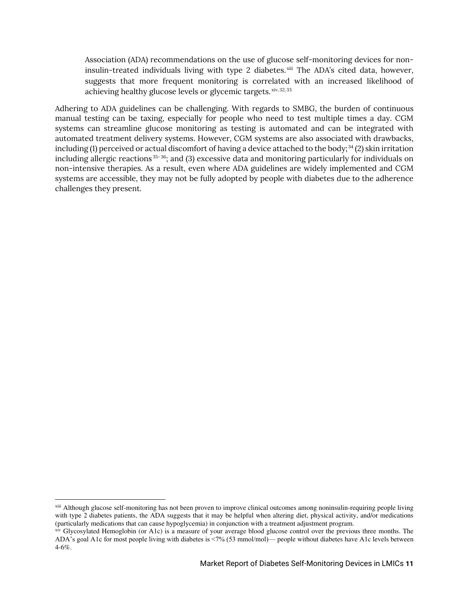Association (ADA) recommendations on the use of glucose self-monitoring devices for noninsulin-treated individuals living with type 2 diabetes. $x^{\text{ini}}$  The ADA's cited data, however, suggests that more frequent monitoring is correlated with an increased likelihood of achieving healthy glucose levels or glycemic targets. <sup>xiv, 32, 33</sup>

Adhering to ADA guidelines can be challenging. With regards to SMBG, the burden of continuous manual testing can be taxing, especially for people who need to test multiple times a day. CGM systems can streamline glucose monitoring as testing is automated and can be integrated with automated treatment delivery systems. However, CGM systems are also associated with drawbacks, including (1) perceived or actual discomfort of having a device attached to the body; $^{34}$  (2) skin irritation including allergic reactions $35-36$ ; and (3) excessive data and monitoring particularly for individuals on non-intensive therapies. As a result, even where ADA guidelines are widely implemented and CGM systems are accessible, they may not be fully adopted by people with diabetes due to the adherence challenges they present.

xiii Although glucose self-monitoring has not been proven to improve clinical outcomes among noninsulin-requiring people living with type 2 diabetes patients, the ADA suggests that it may be helpful when altering diet, physical activity, and/or medications (particularly medications that can cause hypoglycemia) in conjunction with a treatment adjustment program.

 $x^i$  Glycosylated Hemoglobin (or A1c) is a measure of your average blood glucose control over the previous three months. The ADA's goal A1c for most people living with diabetes is <7% (53 mmol/mol)— people without diabetes have A1c levels between 4-6%.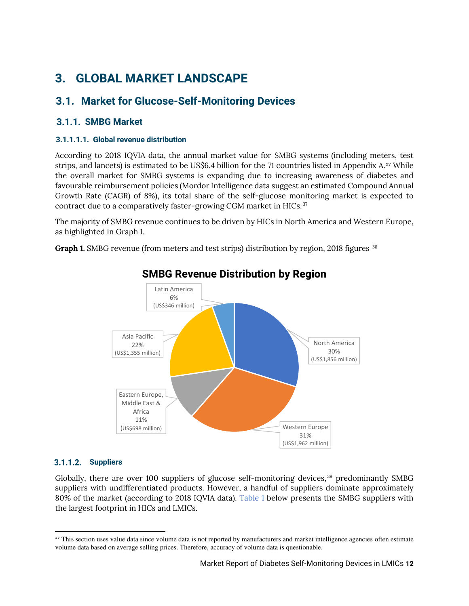## <span id="page-12-0"></span>**3. GLOBAL MARKET LANDSCAPE**

### <span id="page-12-1"></span>**3.1. Market for Glucose-Self-Monitoring Devices**

#### <span id="page-12-2"></span> **SMBG Market**

#### **3.1.1.1.1. Global revenue distribution**

According to 2018 IQVIA data, the annual market value for SMBG systems (including meters, test strips, and lancets) is estimated to be US\$6.4 billion for the 71 countries listed in <u>Appendix A.</u>xv While the overall market for SMBG systems is expanding due to increasing awareness of diabetes and favourable reimbursement policies (Mordor Intelligence data suggest an estimated Compound Annual Growth Rate (CAGR) of 8%), its total share of the self-glucose monitoring market is expected to contract due to a comparatively faster-growing CGM market in HICs. $^{37}$ 

The majority of SMBG revenue continues to be driven by HICs in North America and Western Europe, as highlighted in [Graph 1.](#page-12-3)

<span id="page-12-3"></span>**Graph 1.** SMBG revenue (from meters and test strips) distribution by region, 2018 figures  $^{38}$ 



### **SMBG Revenue Distribution by Region**

#### **Suppliers**

Globally, there are over 100 suppliers of glucose self-monitoring devices, $^{39}$  predominantly SMBG suppliers with undifferentiated products. However, a handful of suppliers dominate approximately 80% of the market (according to 2018 IQVIA data). [Table 1](#page-13-0) below presents the SMBG suppliers with the largest footprint in HICs and LMICs.

xv This section uses value data since volume data is not reported by manufacturers and market intelligence agencies often estimate volume data based on average selling prices. Therefore, accuracy of volume data is questionable.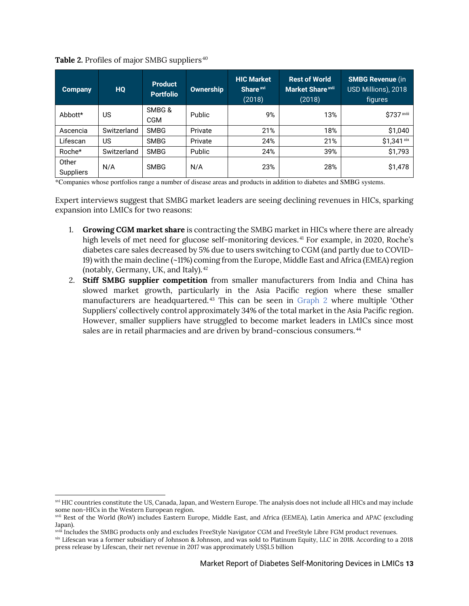<span id="page-13-0"></span>

|  |  | Table 2. Profiles of major SMBG suppliers <sup>40</sup> |
|--|--|---------------------------------------------------------|
|  |  |                                                         |

| <b>Company</b>            | HQ          | <b>Product</b><br><b>Portfolio</b> | <b>Ownership</b> | <b>HIC Market</b><br>Share <sup>xvi</sup><br>(2018) | <b>Rest of World</b><br><b>Market Share xvii</b><br>(2018) | <b>SMBG Revenue (in</b><br>USD Millions), 2018<br>figures |
|---------------------------|-------------|------------------------------------|------------------|-----------------------------------------------------|------------------------------------------------------------|-----------------------------------------------------------|
| Abbott*                   | US          | SMBG&<br><b>CGM</b>                | Public           | 9%                                                  | 13%                                                        | \$737 xviii                                               |
| Ascencia                  | Switzerland | <b>SMBG</b>                        | Private          | 21%                                                 | 18%                                                        | \$1,040                                                   |
| Lifescan                  | US          | <b>SMBG</b>                        | Private          | 24%                                                 | 21%                                                        | \$1,341 xix                                               |
| Roche*                    | Switzerland | <b>SMBG</b>                        | Public           | 24%                                                 | 39%                                                        | \$1,793                                                   |
| Other<br><b>Suppliers</b> | N/A         | <b>SMBG</b>                        | N/A              | 23%                                                 | 28%                                                        | \$1,478                                                   |

\*Companies whose portfolios range a number of disease areas and products in addition to diabetes and SMBG systems.

Expert interviews suggest that SMBG market leaders are seeing declining revenues in HICs, sparking expansion into LMICs for two reasons:

- 1. **Growing CGM market share** is contracting the SMBG market in HICs where there are already high levels of met need for glucose self-monitoring devices.<sup>41</sup> For example, in 2020, Roche's diabetes care sales decreased by 5% due to users switching to CGM (and partly due to COVID-19) with the main decline (~11%) coming from the Europe, Middle East and Africa (EMEA) region (notably, Germany, UK, and Italy). $42$
- <span id="page-13-1"></span>2. **Stiff SMBG supplier competition** from smaller manufacturers from India and China has slowed market growth, particularly in the Asia Pacific region where these smaller manufacturers are headquartered. $43$  This can be seen in [Graph 2](#page-13-1) where multiple 'Other Suppliers' collectively control approximately 34% of the total market in the Asia Pacific region. However, smaller suppliers have struggled to become market leaders in LMICs since most sales are in retail pharmacies and are driven by brand-conscious consumers.  $^{44}$

xvi HIC countries constitute the US, Canada, Japan, and Western Europe. The analysis does not include all HICs and may include some non-HICs in the Western European region.

xvii Rest of the World (RoW) includes Eastern Europe, Middle East, and Africa (EEMEA), Latin America and APAC (excluding Japan).

xviii Includes the SMBG products only and excludes FreeStyle Navigator CGM and FreeStyle Libre FGM product revenues.

xix Lifescan was a former subsidiary of Johnson & Johnson, and was sold to Platinum Equity, LLC in 2018. According to a 2018 press release by Lifescan, their net revenue in 2017 was approximately US\$1.5 billion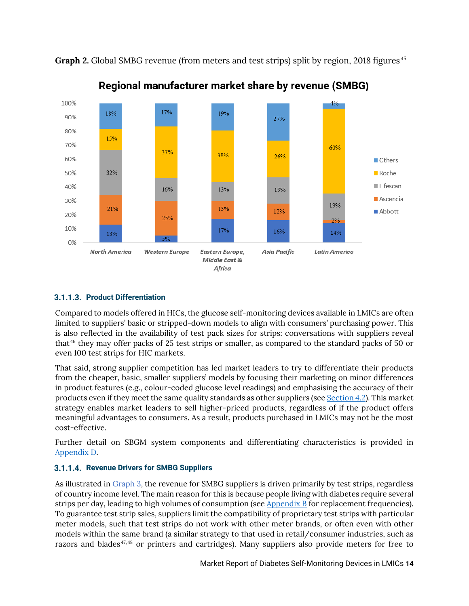

**Graph 2.** Global SMBG revenue (from meters and test strips) split by region, 2018 figures<sup>45</sup>



#### <span id="page-14-0"></span>**Product Differentiation**

Compared to models offered in HICs, the glucose self-monitoring devices available in LMICs are often limited to suppliers' basic or stripped-down models to align with consumers' purchasing power. This is also reflected in the availability of test pack sizes for strips: conversations with suppliers reveal that<sup>46</sup> they may offer packs of 25 test strips or smaller, as compared to the standard packs of 50 or even 100 test strips for HIC markets.

That said, strong supplier competition has led market leaders to try to differentiate their products from the cheaper, basic, smaller suppliers' models by focusing their marketing on minor differences in product features (e.g., colour-coded glucose level readings) and emphasising the accuracy of their products even if they meet the same quality standards as other suppliers (see [Section 4.2\)](#page-20-1). This market strategy enables market leaders to sell higher-priced products, regardless of if the product offers meaningful advantages to consumers. As a result, products purchased in LMICs may not be the most cost-effective.

Further detail on SBGM system components and differentiating characteristics is provided in [Appendix D.](#page-33-1)

#### **Revenue Drivers for SMBG Suppliers**

As illustrated in [Graph 3,](#page-15-1) the revenue for SMBG suppliers is driven primarily by test strips, regardless of country income level. The main reason for this is because people living with diabetes require several strips per day, leading to high volumes of consumption (see  $\Delta$ ppendix  $\overline{B}$  for replacement frequencies). To guarantee test strip sales, suppliers limit the compatibility of proprietary test strips with particular meter models, such that test strips do not work with other meter brands, or often even with other models within the same brand (a similar strategy to that used in retail/consumer industries, such as razors and blades<sup>47,48</sup> or printers and cartridges). Many suppliers also provide meters for free to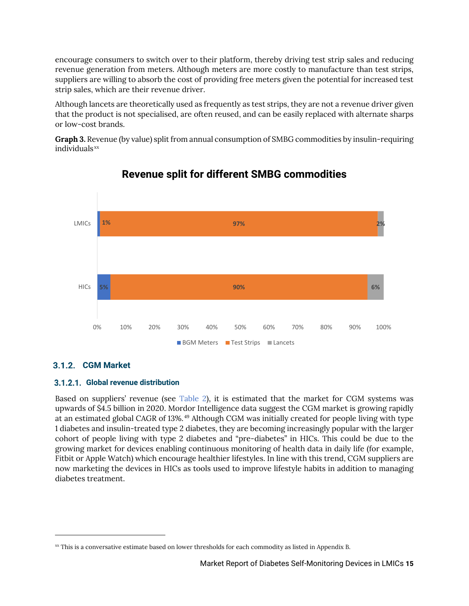encourage consumers to switch over to their platform, thereby driving test strip sales and reducing revenue generation from meters. Although meters are more costly to manufacture than test strips, suppliers are willing to absorb the cost of providing free meters given the potential for increased test strip sales, which are their revenue driver.

Although lancets are theoretically used as frequently as test strips, they are not a revenue driver given that the product is not specialised, are often reused, and can be easily replaced with alternate sharps or low-cost brands.

<span id="page-15-1"></span>**Graph 3.** Revenue (by value) split from annual consumption of SMBG commodities by insulin-requiring individuals<sup>xx</sup>



### **Revenue split for different SMBG commodities**

#### <span id="page-15-0"></span>**CGM Market**

#### **Global revenue distribution**

Based on suppliers' revenue (see [Table 2\)](#page-16-0), it is estimated that the market for CGM systems was upwards of \$4.5 billion in 2020. Mordor Intelligence data suggest the CGM market is growing rapidly at an estimated global CAGR of 13%.<sup>49</sup> Although CGM was initially created for people living with type 1 diabetes and insulin-treated type 2 diabetes, they are becoming increasingly popular with the larger cohort of people living with type 2 diabetes and "pre-diabetes" in HICs. This could be due to the growing market for devices enabling continuous monitoring of health data in daily life (for example, Fitbit or Apple Watch) which encourage healthier lifestyles. In line with this trend, CGM suppliers are now marketing the devices in HICs as tools used to improve lifestyle habits in addition to managing diabetes treatment.

xx This is a conversative estimate based on lower thresholds for each commodity as listed in [Appendix B.](#page-32-0)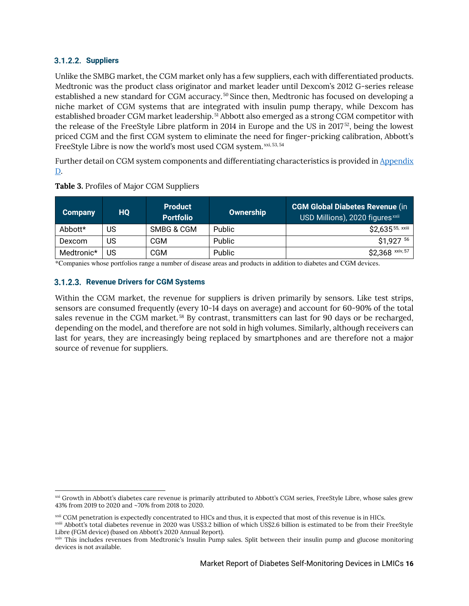#### **Suppliers**

Unlike the SMBG market, the CGM market only has a few suppliers, each with differentiated products. Medtronic was the product class originator and market leader until Dexcom's 2012 G-series release established a new standard for CGM accuracy.<sup>50</sup> Since then, Medtronic has focused on developing a niche market of CGM systems that are integrated with insulin pump therapy, while Dexcom has established broader CGM market leadership.<sup>51</sup> Abbott also emerged as a strong CGM competitor with the release of the FreeStyle Libre platform in 2014 in Europe and the US in 2017<sup>52</sup>, being the lowest priced CGM and the first CGM system to eliminate the need for finger-pricking calibration, Abbott's FreeStyle Libre is now the world's most used CGM system. $^{xxi,53,54}$ 

Further detail on CGM system components and differentiating characteristics is provided i[n Appendix](#page-33-1)  [D.](#page-33-1)

| <b>Company</b> | <b>HQ</b> | <b>Product</b><br><b>Portfolio</b> | <b>Ownership</b> | CGM Global Diabetes Revenue (in<br>USD Millions), 2020 figures <sup>xxii</sup> |
|----------------|-----------|------------------------------------|------------------|--------------------------------------------------------------------------------|
| Abbott*        | US        | SMBG & CGM                         | <b>Public</b>    | \$2,635 <sup>55, xxiii</sup>                                                   |
| <b>Dexcom</b>  | US        | CGM                                | Public           | \$1,927 56                                                                     |
| Medtronic*     | US        | CGM                                | Public           | \$2,368 xxiv, 57                                                               |

<span id="page-16-0"></span>**Table 3.** Profiles of Major CGM Suppliers

\*Companies whose portfolios range a number of disease areas and products in addition to diabetes and CGM devices.

#### **3.1.2.3. Revenue Drivers for CGM Systems**

Within the CGM market, the revenue for suppliers is driven primarily by sensors. Like test strips, sensors are consumed frequently (every 10-14 days on average) and account for 60-90% of the total sales revenue in the CGM market. $^{58}$  By contrast, transmitters can last for 90 days or be recharged, depending on the model, and therefore are not sold in high volumes. Similarly, although receivers can last for years, they are increasingly being replaced by smartphones and are therefore not a major source of revenue for suppliers.

xxi Growth in Abbott's diabetes care revenue is primarily attributed to Abbott's CGM series, FreeStyle Libre, whose sales grew 43% from 2019 to 2020 and ~70% from 2018 to 2020.

xxii CGM penetration is expectedly concentrated to HICs and thus, it is expected that most of this revenue is in HICs.

xxiii Abbott's total diabetes revenue in 2020 was US\$3.2 billion of which US\$2.6 billion is estimated to be from their FreeStyle Libre (FGM device) (based on Abbott's 2020 Annual Report).

xxiv This includes revenues from Medtronic's Insulin Pump sales. Split between their insulin pump and glucose monitoring devices is not available.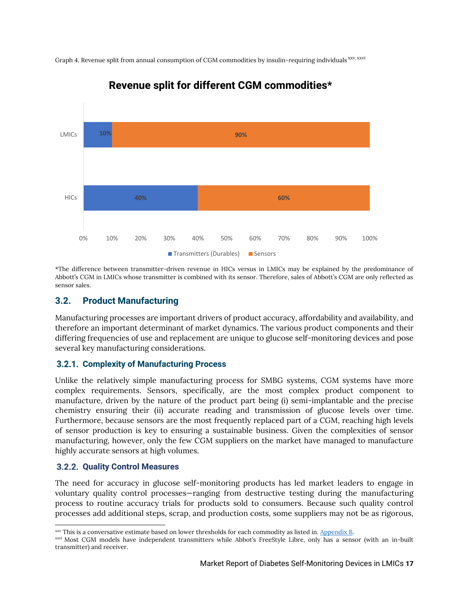Graph 4. Revenue split from annual consumption of CGM commodities by insulin-requiring individuals $^\mathrm{xxx,xxvi}$ 



### **Revenue split for different CGM commodities\***

\*The difference between transmitter-driven revenue in HICs versus in LMICs may be explained by the predominance of Abbott's CGM in LMICs whose transmitter is combined with its sensor. Therefore, sales of Abbott's CGM are only reflected as sensor sales.

#### <span id="page-17-0"></span>**3.2. Product Manufacturing**

Manufacturing processes are important drivers of product accuracy, affordability and availability, and therefore an important determinant of market dynamics. The various product components and their differing frequencies of use and replacement are unique to glucose self-monitoring devices and pose several key manufacturing considerations.

#### <span id="page-17-1"></span>**Complexity of Manufacturing Process**

Unlike the relatively simple manufacturing process for SMBG systems, CGM systems have more complex requirements. Sensors, specifically, are the most complex product component to manufacture, driven by the nature of the product part being (i) semi-implantable and the precise chemistry ensuring their (ii) accurate reading and transmission of glucose levels over time. Furthermore, because sensors are the most frequently replaced part of a CGM, reaching high levels of sensor production is key to ensuring a sustainable business. Given the complexities of sensor manufacturing, however, only the few CGM suppliers on the market have managed to manufacture highly accurate sensors at high volumes.

#### <span id="page-17-2"></span>**3.2.2. Quality Control Measures**

The need for accuracy in glucose self-monitoring products has led market leaders to engage in voluntary quality control processes—ranging from destructive testing during the manufacturing process to routine accuracy trials for products sold to consumers. Because such quality control processes add additional steps, scrap, and production costs, some suppliers may not be as rigorous,

xxv This is a conversative estimate based on lower thresholds for each commodity as listed in. [Appendix B.](#page-32-0) 

xxvi Most CGM models have independent transmitters while Abbot's FreeStyle Libre, only has a sensor (with an in-built transmitter) and receiver.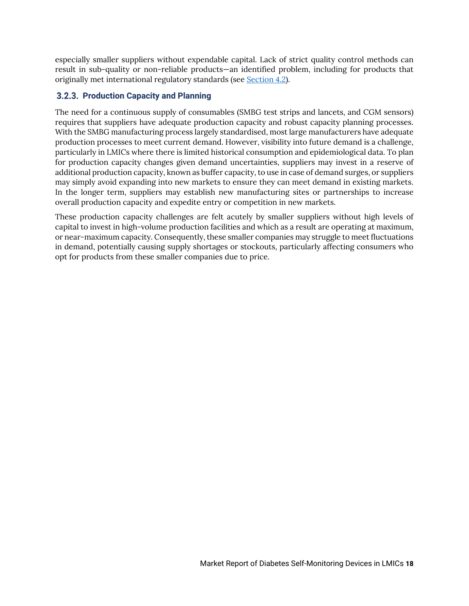especially smaller suppliers without expendable capital. Lack of strict quality control methods can result in sub-quality or non-reliable products—an identified problem, including for products that originally met international regulatory standards (see [Section 4.2\)](#page-20-1).

#### <span id="page-18-0"></span>**3.2.3. Production Capacity and Planning**

The need for a continuous supply of consumables (SMBG test strips and lancets, and CGM sensors) requires that suppliers have adequate production capacity and robust capacity planning processes. With the SMBG manufacturing process largely standardised, most large manufacturers have adequate production processes to meet current demand. However, visibility into future demand is a challenge, particularly in LMICs where there is limited historical consumption and epidemiological data. To plan for production capacity changes given demand uncertainties, suppliers may invest in a reserve of additional production capacity, known as buffer capacity, to use in case of demand surges, or suppliers may simply avoid expanding into new markets to ensure they can meet demand in existing markets. In the longer term, suppliers may establish new manufacturing sites or partnerships to increase overall production capacity and expedite entry or competition in new markets.

<span id="page-18-1"></span>These production capacity challenges are felt acutely by smaller suppliers without high levels of capital to invest in high-volume production facilities and which as a result are operating at maximum, or near-maximum capacity. Consequently, these smaller companies may struggle to meet fluctuations in demand, potentially causing supply shortages or stockouts, particularly affecting consumers who opt for products from these smaller companies due to price.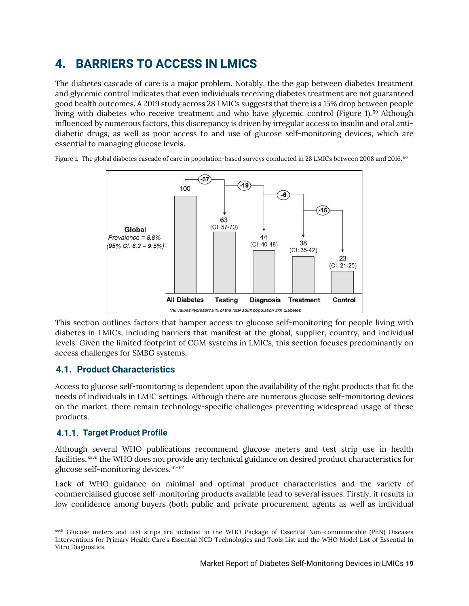### **4. BARRIERS TO ACCESS IN LMICS**

The diabetes cascade of care is a major problem. Notably, the the gap between diabetes treatment and glycemic control indicates that even individuals receiving diabetes treatment are not guaranteed good health outcomes. A 2019 study across 28 LMICs suggests that there is a 15% drop between people living with diabetes who receive treatment and who have glycemic control [\(Figure 1\)](#page-19-2). $^{59}$  Although influenced by numerous factors, this discrepancy is driven by irregular access to insulin and oral antidiabetic drugs, as well as poor access to and use of glucose self-monitoring devices, which are essential to managing glucose levels.

<span id="page-19-2"></span>Figure 1. The global diabetes cascade of care in population-based surveys conducted in 28 LMICs between 2008 and 2016.  $^{60}$ 



This section outlines factors that hamper access to glucose self-monitoring for people living with diabetes in LMICs, including barriers that manifest at the global, supplier, country, and individual levels. Given the limited footprint of CGM systems in LMICs, this section focuses predominantly on access challenges for SMBG systems.

#### <span id="page-19-0"></span>**4.1. Product Characteristics**

Access to glucose self-monitoring is dependent upon the availability of the right products that fit the needs of individuals in LMIC settings. Although there are numerous glucose self-monitoring devices on the market, there remain technology-specific challenges preventing widespread usage of these products.

#### <span id="page-19-1"></span>**4.1.1. Target Product Profile**

Although several WHO publications recommend glucose meters and test strip use in health facilities, xxvii the WHO does not provide any technical guidance on desired product characteristics for glucose self-monitoring devices.  $61-62$ 

Lack of WHO guidance on minimal and optimal product characteristics and the variety of commercialised glucose self-monitoring products available lead to several issues. Firstly, it results in low confidence among buyers (both public and private procurement agents as well as individual

xxvii Glucose meters and test strips are included in the WHO Package of Essential Non-communicable (PEN) Diseases Interventions for Primary Health Care's Essential NCD Technologies and Tools List and the WHO Model List of Essential In Vitro Diagnostics.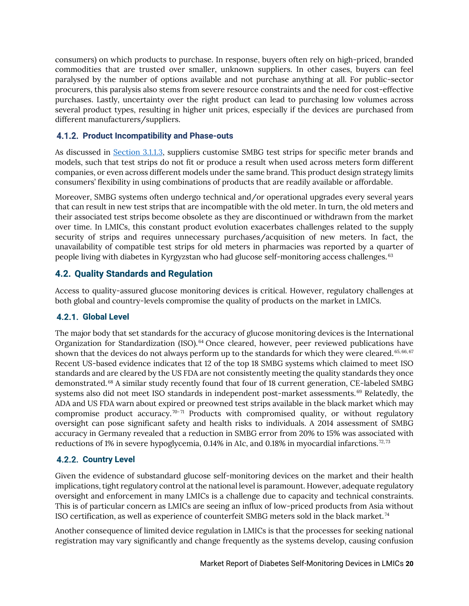consumers) on which products to purchase. In response, buyers often rely on high-priced, branded commodities that are trusted over smaller, unknown suppliers. In other cases, buyers can feel paralysed by the number of options available and not purchase anything at all. For public-sector procurers, this paralysis also stems from severe resource constraints and the need for cost-effective purchases. Lastly, uncertainty over the right product can lead to purchasing low volumes across several product types, resulting in higher unit prices, especially if the devices are purchased from different manufacturers/suppliers.

#### <span id="page-20-0"></span>**Product Incompatibility and Phase-outs**

As discussed in [Section 3.1.1.3,](#page-14-0) suppliers customise SMBG test strips for specific meter brands and models, such that test strips do not fit or produce a result when used across meters form different companies, or even across different models under the same brand. This product design strategy limits consumers' flexibility in using combinations of products that are readily available or affordable.

Moreover, SMBG systems often undergo technical and/or operational upgrades every several years that can result in new test strips that are incompatible with the old meter. In turn, the old meters and their associated test strips become obsolete as they are discontinued or withdrawn from the market over time. In LMICs, this constant product evolution exacerbates challenges related to the supply security of strips and requires unnecessary purchases/acquisition of new meters. In fact, the unavailability of compatible test strips for old meters in pharmacies was reported by a quarter of people living with diabetes in Kyrgyzstan who had glucose self-monitoring access challenges. $63$ 

#### <span id="page-20-1"></span>**4.2. Quality Standards and Regulation**

Access to quality-assured glucose monitoring devices is critical. However, regulatory challenges at both global and country-levels compromise the quality of products on the market in LMICs.

#### <span id="page-20-2"></span>**Global Level**

The major body that set standards for the accuracy of glucose monitoring devices is the International Organization for Standardization (ISO).<sup>64</sup> Once cleared, however, peer reviewed publications have shown that the devices do not always perform up to the standards for which they were cleared. $^{65,66,67}$ Recent US-based evidence indicates that 12 of the top 18 SMBG systems which claimed to meet ISO standards and are cleared by the US FDA are not consistently meeting the quality standards they once demonstrated. $^{68}$  A similar study recently found that four of 18 current generation, CE-labeled SMBG systems also did not meet ISO standards in independent post-market assessments. $^{69}$  Relatedly, the ADA and US FDA warn about expired or preowned test strips available in the black market which may compromise product accuracy.<sup>70-71</sup> Products with compromised quality, or without regulatory oversight can pose significant safety and health risks to individuals. A 2014 assessment of SMBG accuracy in Germany revealed that a reduction in SMBG error from 20% to 15% was associated with reductions of 1% in severe hypoglycemia, 0.14% in A1c, and 0.18% in myocardial infarctions. $^{72,73}$ 

#### <span id="page-20-3"></span>**4.2.2. Country Level**

Given the evidence of substandard glucose self-monitoring devices on the market and their health implications, tight regulatory control at the national level is paramount. However, adequate regulatory oversight and enforcement in many LMICs is a challenge due to capacity and technical constraints. This is of particular concern as LMICs are seeing an influx of low-priced products from Asia without ISO certification, as well as experience of counterfeit SMBG meters sold in the black market.  $^{74}$ 

Another consequence of limited device regulation in LMICs is that the processes for seeking national registration may vary significantly and change frequently as the systems develop, causing confusion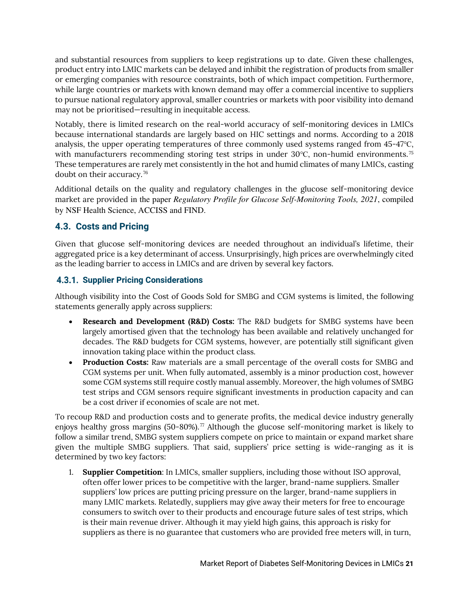and substantial resources from suppliers to keep registrations up to date. Given these challenges, product entry into LMIC markets can be delayed and inhibit the registration of products from smaller or emerging companies with resource constraints, both of which impact competition. Furthermore, while large countries or markets with known demand may offer a commercial incentive to suppliers to pursue national regulatory approval, smaller countries or markets with poor visibility into demand may not be prioritised—resulting in inequitable access.

Notably, there is limited research on the real-world accuracy of self-monitoring devices in LMICs because international standards are largely based on HIC settings and norms. According to a 2018 analysis, the upper operating temperatures of three commonly used systems ranged from 45-47℃, with manufacturers recommending storing test strips in under 30℃, non-humid environments.<sup>75</sup> These temperatures are rarely met consistently in the hot and humid climates of many LMICs, casting doubt on their accuracy.<sup>76</sup>

Additional details on the quality and regulatory challenges in the glucose self-monitoring device market are provided in the paper *Regulatory Profile for Glucose Self-Monitoring Tools, 2021*, compiled by NSF Health Science, ACCISS and FIND.

#### <span id="page-21-0"></span>**4.3. Costs and Pricing**

Given that glucose self-monitoring devices are needed throughout an individual's lifetime, their aggregated price is a key determinant of access. Unsurprisingly, high prices are overwhelmingly cited as the leading barrier to access in LMICs and are driven by several key factors.

#### <span id="page-21-1"></span>**4.3.1. Supplier Pricing Considerations**

Although visibility into the Cost of Goods Sold for SMBG and CGM systems is limited, the following statements generally apply across suppliers:

- **Research and Development (R&D) Costs:** The R&D budgets for SMBG systems have been largely amortised given that the technology has been available and relatively unchanged for decades. The R&D budgets for CGM systems, however, are potentially still significant given innovation taking place within the product class.
- **Production Costs:** Raw materials are a small percentage of the overall costs for SMBG and CGM systems per unit. When fully automated, assembly is a minor production cost, however some CGM systems still require costly manual assembly. Moreover, the high volumes of SMBG test strips and CGM sensors require significant investments in production capacity and can be a cost driver if economies of scale are not met.

To recoup R&D and production costs and to generate profits, the medical device industry generally enjoys healthy gross margins (50-80%).<sup>77</sup> Although the glucose self-monitoring market is likely to follow a similar trend, SMBG system suppliers compete on price to maintain or expand market share given the multiple SMBG suppliers. That said, suppliers' price setting is wide-ranging as it is determined by two key factors:

1. **Supplier Competition**: In LMICs, smaller suppliers, including those without ISO approval, often offer lower prices to be competitive with the larger, brand-name suppliers. Smaller suppliers' low prices are putting pricing pressure on the larger, brand-name suppliers in many LMIC markets. Relatedly, suppliers may give away their meters for free to encourage consumers to switch over to their products and encourage future sales of test strips, which is their main revenue driver. Although it may yield high gains, this approach is risky for suppliers as there is no guarantee that customers who are provided free meters will, in turn,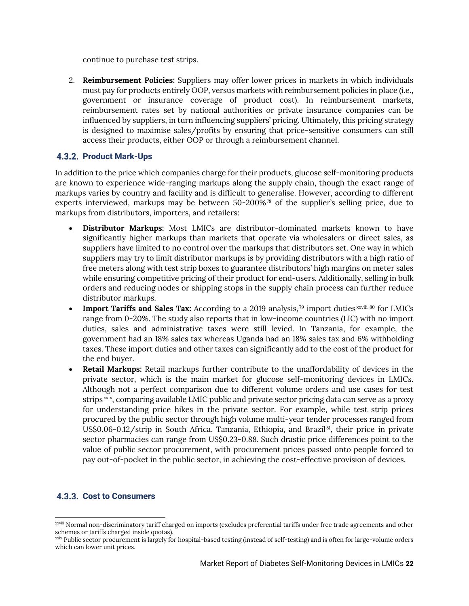continue to purchase test strips.

2. **Reimbursement Policies:** Suppliers may offer lower prices in markets in which individuals must pay for products entirely OOP, versus markets with reimbursement policies in place (i.e., government or insurance coverage of product cost). In reimbursement markets, reimbursement rates set by national authorities or private insurance companies can be influenced by suppliers, in turn influencing suppliers' pricing. Ultimately, this pricing strategy is designed to maximise sales/profits by ensuring that price-sensitive consumers can still access their products, either OOP or through a reimbursement channel.

#### <span id="page-22-0"></span>**Product Mark-Ups**

In addition to the price which companies charge for their products, glucose self-monitoring products are known to experience wide-ranging markups along the supply chain, though the exact range of markups varies by country and facility and is difficult to generalise. However, according to different experts interviewed, markups may be between 50-200 $\%$ <sup>78</sup> of the supplier's selling price, due to markups from distributors, importers, and retailers:

- **Distributor Markups:** Most LMICs are distributor-dominated markets known to have significantly higher markups than markets that operate via wholesalers or direct sales, as suppliers have limited to no control over the markups that distributors set. One way in which suppliers may try to limit distributor markups is by providing distributors with a high ratio of free meters along with test strip boxes to guarantee distributors' high margins on meter sales while ensuring competitive pricing of their product for end-users. Additionally, selling in bulk orders and reducing nodes or shipping stops in the supply chain process can further reduce distributor markups.
- Import Tariffs and Sales Tax: According to a 2019 analysis,<sup>79</sup> import duties<sup>xxviii,80</sup> for LMICs range from 0-20%. The study also reports that in low-income countries (LIC) with no import duties, sales and administrative taxes were still levied. In Tanzania, for example, the government had an 18% sales tax whereas Uganda had an 18% sales tax and 6% withholding taxes. These import duties and other taxes can significantly add to the cost of the product for the end buyer.
- **Retail Markups:** Retail markups further contribute to the unaffordability of devices in the private sector, which is the main market for glucose self-monitoring devices in LMICs. Although not a perfect comparison due to different volume orders and use cases for test strips $^{\mathrm{xxix}}$ , comparing available LMIC public and private sector pricing data can serve as a proxy for understanding price hikes in the private sector. For example, while test strip prices procured by the public sector through high volume multi-year tender processes ranged from US\$0.06-0.12/strip in South Africa, Tanzania, Ethiopia, and Brazil<sup>81</sup>, their price in private sector pharmacies can range from US\$0.23-0.88. Such drastic price differences point to the value of public sector procurement, with procurement prices passed onto people forced to pay out-of-pocket in the public sector, in achieving the cost-effective provision of devices.

#### <span id="page-22-1"></span>**4.3.3. Cost to Consumers**

xxviii Normal non-discriminatory tariff charged on imports (excludes preferential tariffs under free trade agreements and other schemes or tariffs charged inside quotas).

xxix Public sector procurement is largely for hospital-based testing (instead of self-testing) and is often for large-volume orders which can lower unit prices.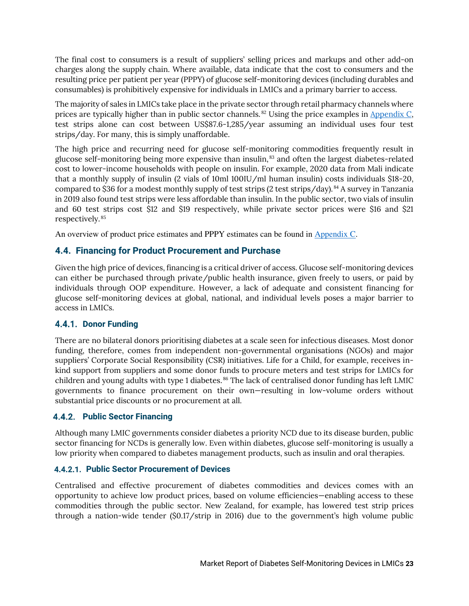The final cost to consumers is a result of suppliers' selling prices and markups and other add-on charges along the supply chain. Where available, data indicate that the cost to consumers and the resulting price per patient per year (PPPY) of glucose self-monitoring devices (including durables and consumables) is prohibitively expensive for individuals in LMICs and a primary barrier to access.

The majority of sales in LMICs take place in the private sector through retail pharmacy channels where prices are typically higher than in public sector channels.<sup>82</sup> Using the price examples in <u>Appendix C</u>, test strips alone can cost between US\$87.6-1,285/year assuming an individual uses four test strips/day. For many, this is simply unaffordable.

The high price and recurring need for glucose self-monitoring commodities frequently result in glucose self-monitoring being more expensive than insulin, $^{83}$  and often the largest diabetes-related cost to lower-income households with people on insulin. For example, 2020 data from Mali indicate that a monthly supply of insulin (2 vials of 10ml 100IU/ml human insulin) costs individuals \$18-20, compared to \$36 for a modest monthly supply of test strips (2 test strips/day).<sup>84</sup> A survey in Tanzania in 2019 also found test strips were less affordable than insulin. In the public sector, two vials of insulin and 60 test strips cost \$12 and \$19 respectively, while private sector prices were \$16 and \$21 respectively.  $^{85}$ 

An overview of product price estimates and PPPY estimates can be found in [Appendix C.](#page-32-1)

#### <span id="page-23-0"></span>**4.4. Financing for Product Procurement and Purchase**

Given the high price of devices, financing is a critical driver of access. Glucose self-monitoring devices can either be purchased through private/public health insurance, given freely to users, or paid by individuals through OOP expenditure. However, a lack of adequate and consistent financing for glucose self-monitoring devices at global, national, and individual levels poses a major barrier to access in LMICs.

#### <span id="page-23-1"></span>**4.4.1. Donor Funding**

There are no bilateral donors prioritising diabetes at a scale seen for infectious diseases. Most donor funding, therefore, comes from independent non-governmental organisations (NGOs) and major suppliers' Corporate Social Responsibility (CSR) initiatives. Life for a Child, for example, receives inkind support from suppliers and some donor funds to procure meters and test strips for LMICs for children and young adults with type 1 diabetes. $^{86}$  The lack of centralised donor funding has left LMIC  $\,$ governments to finance procurement on their own—resulting in low-volume orders without substantial price discounts or no procurement at all.

#### <span id="page-23-2"></span>**Public Sector Financing**

Although many LMIC governments consider diabetes a priority NCD due to its disease burden, public sector financing for NCDs is generally low. Even within diabetes, glucose self-monitoring is usually a low priority when compared to diabetes management products, such as insulin and oral therapies.

#### **Public Sector Procurement of Devices**

Centralised and effective procurement of diabetes commodities and devices comes with an opportunity to achieve low product prices, based on volume efficiencies—enabling access to these commodities through the public sector. New Zealand, for example, has lowered test strip prices through a nation-wide tender (\$0.17/strip in 2016) due to the government's high volume public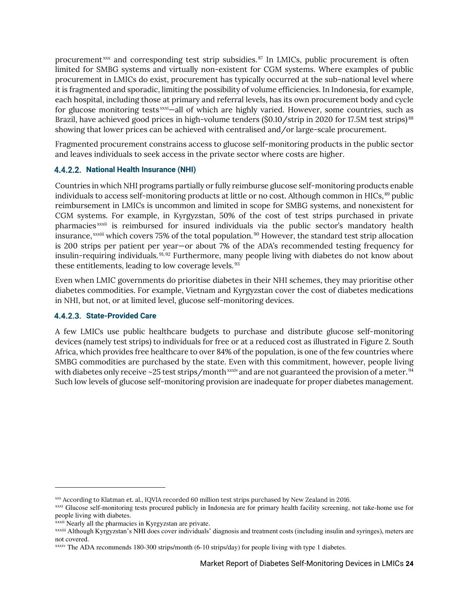procurement  $\frac{1}{2}$  and corresponding test strip subsidies.  $\frac{1}{2}$  In LMICs, public procurement is often limited for SMBG systems and virtually non-existent for CGM systems. Where examples of public procurement in LMICs do exist, procurement has typically occurred at the sub-national level where it is fragmented and sporadic, limiting the possibility of volume efficiencies. In Indonesia, for example, each hospital, including those at primary and referral levels, has its own procurement body and cycle for glucose monitoring tests $\frac{x}{x}$ —all of which are highly varied. However, some countries, such as Brazil, have achieved good prices in high-volume tenders (\$0.10/strip in 2020 for 17.5M test strips) $^{\rm 88}$ showing that lower prices can be achieved with centralised and/or large-scale procurement.

Fragmented procurement constrains access to glucose self-monitoring products in the public sector and leaves individuals to seek access in the private sector where costs are higher.

#### **National Health Insurance (NHI)**

Countries in which NHI programs partially or fully reimburse glucose self-monitoring products enable individuals to access self-monitoring products at little or no cost. Although common in HICs, $^{\rm 89}$  public reimbursement in LMICs is uncommon and limited in scope for SMBG systems, and nonexistent for CGM systems. For example, in Kyrgyzstan, 50% of the cost of test strips purchased in private pharmacies<sup>xxxii</sup> is reimbursed for insured individuals via the public sector's mandatory health insurance, $x^{\text{xxiii}}$  which covers 75% of the total population.<sup>90</sup> However, the standard test strip allocation is 200 strips per patient per year—or about 7% of the ADA's recommended testing frequency for insulin-requiring individuals.<sup>91,92</sup> Furthermore, many people living with diabetes do not know about these entitlements, leading to low coverage levels.  $^{93}$ 

Even when LMIC governments do prioritise diabetes in their NHI schemes, they may prioritise other diabetes commodities. For example, Vietnam and Kyrgyzstan cover the cost of diabetes medications in NHI, but not, or at limited level, glucose self-monitoring devices.

#### **4.4.2.3. State-Provided Care**

<span id="page-24-0"></span>A few LMICs use public healthcare budgets to purchase and distribute glucose self-monitoring devices (namely test strips) to individuals for free or at a reduced cost as illustrated in [Figure 2.](#page-24-0) South Africa, which provides free healthcare to over 84% of the population, is one of the few countries where SMBG commodities are purchased by the state. Even with this commitment, however, people living with diabetes only receive ~25 test strips/month  $^\mathrm{xxxi}$  and are not guaranteed the provision of a meter.  $^\mathrm{94}$ Such low levels of glucose self-monitoring provision are inadequate for proper diabetes management.

xxx According to Klatman et. al., IQVIA recorded 60 million test strips purchased by New Zealand in 2016.

xxxi Glucose self-monitoring tests procured publicly in Indonesia are for primary health facility screening, not take-home use for people living with diabetes.

xxxii Nearly all the pharmacies in Kyrgyzstan are private.

xxxiii Although Kyrgyzstan's NHI does cover individuals' diagnosis and treatment costs (including insulin and syringes), meters are not covered.

xxxiv The ADA recommends 180-300 strips/month (6-10 strips/day) for people living with type 1 diabetes.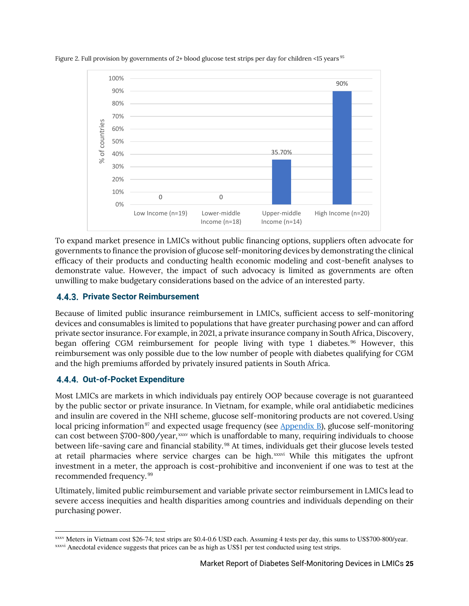

Figure 2. Full provision by governments of 2+ blood glucose test strips per day for children <15 years  $^{95}$ 

To expand market presence in LMICs without public financing options, suppliers often advocate for governments to finance the provision of glucose self-monitoring devices by demonstrating the clinical efficacy of their products and conducting health economic modeling and cost-benefit analyses to demonstrate value. However, the impact of such advocacy is limited as governments are often unwilling to make budgetary considerations based on the advice of an interested party.

#### <span id="page-25-0"></span>**Private Sector Reimbursement**

Because of limited public insurance reimbursement in LMICs, sufficient access to self-monitoring devices and consumables is limited to populations that have greater purchasing power and can afford private sector insurance. For example, in 2021, a private insurance company in South Africa, Discovery, began offering CGM reimbursement for people living with type 1 diabetes.<sup>96</sup> However, this reimbursement was only possible due to the low number of people with diabetes qualifying for CGM and the high premiums afforded by privately insured patients in South Africa.

#### <span id="page-25-1"></span>**Out-of-Pocket Expenditure**

Most LMICs are markets in which individuals pay entirely OOP because coverage is not guaranteed by the public sector or private insurance. In Vietnam, for example, while oral antidiabetic medicines and insulin are covered in the NHI scheme, glucose self-monitoring products are not covered. Using local pricing information $9^7$  and expected usage frequency (see  $\Delta$ ppendix  $\Delta$ ), glucose self-monitoring can cost between \$700-800/year, $xxxv$  which is unaffordable to many, requiring individuals to choose between life-saving care and financial stability. $^{98}$  At times, individuals get their glucose levels tested at retail pharmacies where service charges can be high.<sup>xxxvi</sup> While this mitigates the upfront investment in a meter, the approach is cost-prohibitive and inconvenient if one was to test at the recommended frequency.<sup>99</sup>

Ultimately, limited public reimbursement and variable private sector reimbursement in LMICs lead to severe access inequities and health disparities among countries and individuals depending on their purchasing power.

xxxv Meters in Vietnam cost \$26-74; test strips are \$0.4-0.6 USD each. Assuming 4 tests per day, this sums to US\$700-800/year. xxxvi Anecdotal evidence suggests that prices can be as high as US\$1 per test conducted using test strips.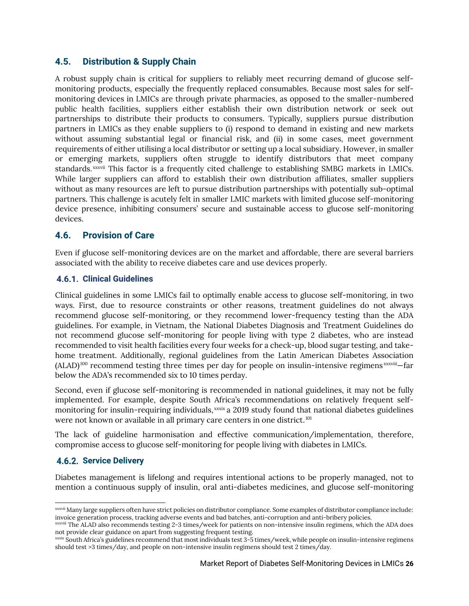#### <span id="page-26-0"></span>**4.5. Distribution & Supply Chain**

A robust supply chain is critical for suppliers to reliably meet recurring demand of glucose selfmonitoring products, especially the frequently replaced consumables. Because most sales for selfmonitoring devices in LMICs are through private pharmacies, as opposed to the smaller-numbered public health facilities, suppliers either establish their own distribution network or seek out partnerships to distribute their products to consumers. Typically, suppliers pursue distribution partners in LMICs as they enable suppliers to (i) respond to demand in existing and new markets without assuming substantial legal or financial risk, and (ii) in some cases, meet government requirements of either utilising a local distributor or setting up a local subsidiary. However, in smaller or emerging markets, suppliers often struggle to identify distributors that meet company standards.<sup>xxxvii</sup> This factor is a frequently cited challenge to establishing SMBG markets in LMICs. While larger suppliers can afford to establish their own distribution affiliates, smaller suppliers without as many resources are left to pursue distribution partnerships with potentially sub-optimal partners. This challenge is acutely felt in smaller LMIC markets with limited glucose self-monitoring device presence, inhibiting consumers' secure and sustainable access to glucose self-monitoring devices.

#### <span id="page-26-1"></span>**4.6. Provision of Care**

Even if glucose self-monitoring devices are on the market and affordable, there are several barriers associated with the ability to receive diabetes care and use devices properly.

#### <span id="page-26-2"></span>**Clinical Guidelines**

Clinical guidelines in some LMICs fail to optimally enable access to glucose self-monitoring, in two ways. First, due to resource constraints or other reasons, treatment guidelines do not always recommend glucose self-monitoring, or they recommend lower-frequency testing than the ADA guidelines. For example, in Vietnam, the National Diabetes Diagnosis and Treatment Guidelines do not recommend glucose self-monitoring for people living with type 2 diabetes, who are instead recommended to visit health facilities every four weeks for a check-up, blood sugar testing, and takehome treatment. Additionally, regional guidelines from the Latin American Diabetes Association  $(ALAD)^{100}$  recommend testing three times per day for people on insulin-intensive regimens $x_{\text{axwili}}$ —far below the ADA's recommended six to 10 times perday.

Second, even if glucose self-monitoring is recommended in national guidelines, it may not be fully implemented. For example, despite South Africa's recommendations on relatively frequent selfmonitoring for insulin-requiring individuals, $x$  a 2019 study found that national diabetes guidelines were not known or available in all primary care centers in one district. $^{101}$ 

The lack of guideline harmonisation and effective communication/implementation, therefore, compromise access to glucose self-monitoring for people living with diabetes in LMICs.

#### <span id="page-26-3"></span>**4.6.2. Service Delivery**

Diabetes management is lifelong and requires intentional actions to be properly managed, not to mention a continuous supply of insulin, oral anti-diabetes medicines, and glucose self-monitoring

xxxvii Many large suppliers often have strict policies on distributor compliance. Some examples of distributor compliance include: invoice generation process, tracking adverse events and bad batches, anti-corruption and anti-bribery policies.

xxxviii The ALAD also recommends testing 2-3 times/week for patients on non-intensive insulin regimens, which the ADA does not provide clear guidance on apart from suggesting frequent testing.

xxxix South Africa's guidelines recommend that most individuals test 3-5 times/week, while people on insulin-intensive regimens should test >3 times/day, and people on non-intensive insulin regimens should test 2 times/day.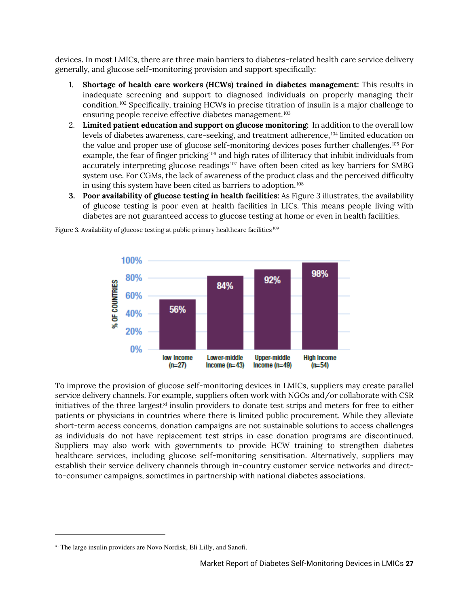devices. In most LMICs, there are three main barriers to diabetes-related health care service delivery generally, and glucose self-monitoring provision and support specifically:

- 1. **Shortage of health care workers (HCWs) trained in diabetes management:** This results in inadequate screening and support to diagnosed individuals on properly managing their condition.<sup>102</sup> Specifically, training HCWs in precise titration of insulin is a major challenge to ensuring people receive effective diabetes management. $^{\rm 103}$
- 2. **Limited patient education and support on glucose monitoring:** In addition to the overall low levels of diabetes awareness, care-seeking, and treatment adherence,  $^{104}$  limited education on the value and proper use of glucose self-monitoring devices poses further challenges.<sup>105</sup> For example, the fear of finger pricking $^{106}$  and high rates of illiteracy that inhibit individuals from accurately interpreting glucose readings $^{107}$  have often been cited as key barriers for SMBG system use. For CGMs, the lack of awareness of the product class and the perceived difficulty in using this system have been cited as barriers to adoption. $^{108}\,$
- **3. Poor availability of glucose testing in health facilities:** As [Figure 3](#page-27-0) illustrates, the availability of glucose testing is poor even at health facilities in LICs. This means people living with diabetes are not guaranteed access to glucose testing at home or even in health facilities.



<span id="page-27-0"></span>Figure 3. Availability of glucose testing at public primary healthcare facilities  $^{109}$ 

To improve the provision of glucose self-monitoring devices in LMICs, suppliers may create parallel service delivery channels. For example, suppliers often work with NGOs and/or collaborate with CSR initiatives of the three largest $xI$  insulin providers to donate test strips and meters for free to either patients or physicians in countries where there is limited public procurement. While they alleviate short-term access concerns, donation campaigns are not sustainable solutions to access challenges as individuals do not have replacement test strips in case donation programs are discontinued. Suppliers may also work with governments to provide HCW training to strengthen diabetes healthcare services, including glucose self-monitoring sensitisation. Alternatively, suppliers may establish their service delivery channels through in-country customer service networks and directto-consumer campaigns, sometimes in partnership with national diabetes associations.

xl The large insulin providers are Novo Nordisk, Eli Lilly, and Sanofi.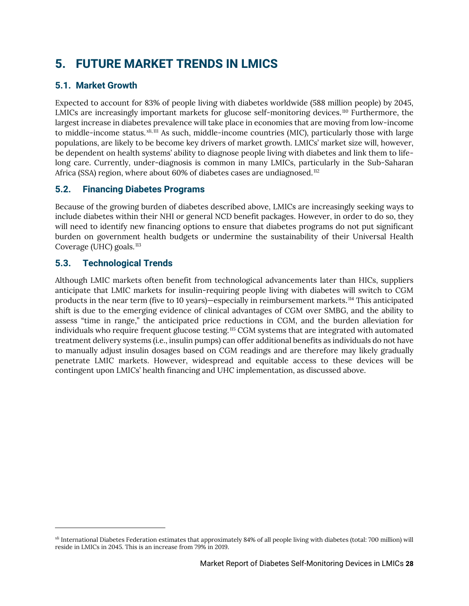# <span id="page-28-0"></span>**5. FUTURE MARKET TRENDS IN LMICS**

#### <span id="page-28-1"></span>**5.1. Market Growth**

Expected to account for 83% of people living with diabetes worldwide (588 million people) by 2045, LMICs are increasingly important markets for glucose self-monitoring devices. $^\mathrm{110}$  Furthermore, the largest increase in diabetes prevalence will take place in economies that are moving from low-income to middle-income status. $x^{ki, 111}$  As such, middle-income countries (MIC), particularly those with large populations, are likely to be become key drivers of market growth. LMICs' market size will, however, be dependent on health systems' ability to diagnose people living with diabetes and link them to lifelong care. Currently, under-diagnosis is common in many LMICs, particularly in the Sub-Saharan Africa (SSA) region, where about  $60\%$  of diabetes cases are undiagnosed.<sup>112</sup>

#### **5.2. Financing Diabetes Programs**

Because of the growing burden of diabetes described above, LMICs are increasingly seeking ways to include diabetes within their NHI or general NCD benefit packages. However, in order to do so, they will need to identify new financing options to ensure that diabetes programs do not put significant burden on government health budgets or undermine the sustainability of their Universal Health Coverage (UHC) goals.<sup>113</sup>

#### <span id="page-28-2"></span>**5.3. Technological Trends**

Although LMIC markets often benefit from technological advancements later than HICs, suppliers anticipate that LMIC markets for insulin-requiring people living with diabetes will switch to CGM products in the near term (five to 10 years)—especially in reimbursement markets.  $^{114}$  This anticipated shift is due to the emerging evidence of clinical advantages of CGM over SMBG, and the ability to assess "time in range," the anticipated price reductions in CGM, and the burden alleviation for individuals who require frequent glucose testing. $^{115}$  CGM systems that are integrated with automated treatment delivery systems (i.e., insulin pumps) can offer additional benefits as individuals do not have to manually adjust insulin dosages based on CGM readings and are therefore may likely gradually penetrate LMIC markets. However, widespread and equitable access to these devices will be contingent upon LMICs' health financing and UHC implementation, as discussed above.

xli International Diabetes Federation estimates that approximately 84% of all people living with diabetes (total: 700 million) will reside in LMICs in 2045. This is an increase from 79% in 2019.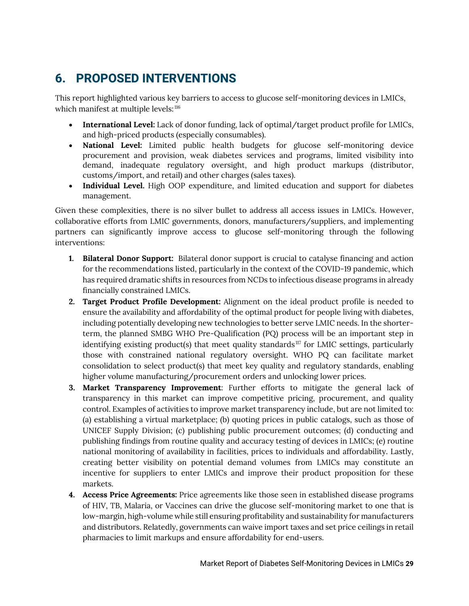# <span id="page-29-0"></span>**6. PROPOSED INTERVENTIONS**

This report highlighted various key barriers to access to glucose self-monitoring devices in LMICs, which manifest at multiple levels:  $^{116}$ 

- **International Level:** Lack of donor funding, lack of optimal/target product profile for LMICs, and high-priced products (especially consumables).
- **National Level:** Limited public health budgets for glucose self-monitoring device procurement and provision, weak diabetes services and programs, limited visibility into demand, inadequate regulatory oversight, and high product markups (distributor, customs/import, and retail) and other charges (sales taxes).
- **Individual Level.** High OOP expenditure, and limited education and support for diabetes management.

Given these complexities, there is no silver bullet to address all access issues in LMICs. However, collaborative efforts from LMIC governments, donors, manufacturers/suppliers, and implementing partners can significantly improve access to glucose self-monitoring through the following interventions:

- **1. Bilateral Donor Support:** Bilateral donor support is crucial to catalyse financing and action for the recommendations listed, particularly in the context of the COVID-19 pandemic, which has required dramatic shifts in resources from NCDs to infectious disease programs in already financially constrained LMICs.
- **2. Target Product Profile Development:** Alignment on the ideal product profile is needed to ensure the availability and affordability of the optimal product for people living with diabetes, including potentially developing new technologies to better serve LMIC needs. In the shorterterm, the planned SMBG WHO Pre-Qualification (PQ) process will be an important step in identifying existing product(s) that meet quality standards $^{117}$  for LMIC settings, particularly those with constrained national regulatory oversight. WHO PQ can facilitate market consolidation to select product(s) that meet key quality and regulatory standards, enabling higher volume manufacturing/procurement orders and unlocking lower prices.
- **3. Market Transparency Improvement**: Further efforts to mitigate the general lack of transparency in this market can improve competitive pricing, procurement, and quality control. Examples of activities to improve market transparency include, but are not limited to: (a) establishing a virtual marketplace; (b) quoting prices in public catalogs, such as those of UNICEF Supply Division; (c) publishing public procurement outcomes; (d) conducting and publishing findings from routine quality and accuracy testing of devices in LMICs; (e) routine national monitoring of availability in facilities, prices to individuals and affordability. Lastly, creating better visibility on potential demand volumes from LMICs may constitute an incentive for suppliers to enter LMICs and improve their product proposition for these markets.
- **4. Access Price Agreements:** Price agreements like those seen in established disease programs of HIV, TB, Malaria, or Vaccines can drive the glucose self-monitoring market to one that is low-margin, high-volume while still ensuring profitability and sustainability for manufacturers and distributors. Relatedly, governments can waive import taxes and set price ceilings in retail pharmacies to limit markups and ensure affordability for end-users.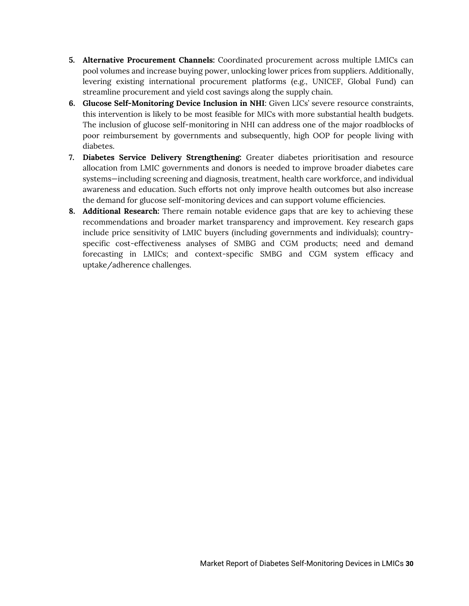- **5. Alternative Procurement Channels:** Coordinated procurement across multiple LMICs can pool volumes and increase buying power, unlocking lower prices from suppliers. Additionally, levering existing international procurement platforms (e.g., UNICEF, Global Fund) can streamline procurement and yield cost savings along the supply chain.
- **6. Glucose Self-Monitoring Device Inclusion in NHI**: Given LICs' severe resource constraints, this intervention is likely to be most feasible for MICs with more substantial health budgets. The inclusion of glucose self-monitoring in NHI can address one of the major roadblocks of poor reimbursement by governments and subsequently, high OOP for people living with diabetes.
- **7. Diabetes Service Delivery Strengthening:** Greater diabetes prioritisation and resource allocation from LMIC governments and donors is needed to improve broader diabetes care systems—including screening and diagnosis, treatment, health care workforce, and individual awareness and education. Such efforts not only improve health outcomes but also increase the demand for glucose self-monitoring devices and can support volume efficiencies.
- **8. Additional Research:** There remain notable evidence gaps that are key to achieving these recommendations and broader market transparency and improvement. Key research gaps include price sensitivity of LMIC buyers (including governments and individuals); countryspecific cost-effectiveness analyses of SMBG and CGM products; need and demand forecasting in LMICs; and context-specific SMBG and CGM system efficacy and uptake/adherence challenges.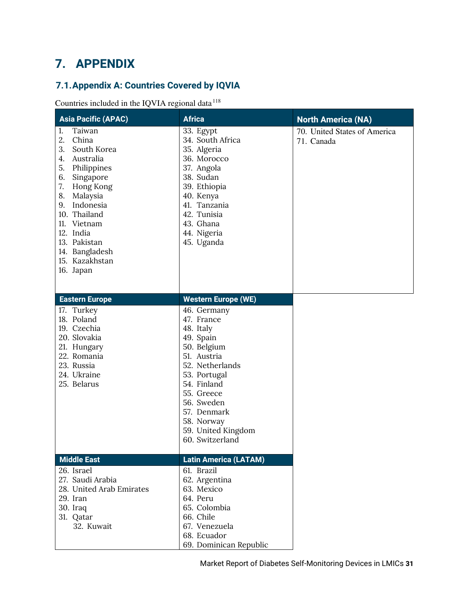# <span id="page-31-0"></span>**7. APPENDIX**

### <span id="page-31-1"></span>**7.1.Appendix A: Countries Covered by IQVIA**

Countries included in the IQVIA regional data $^{118}$ 

| <b>Asia Pacific (APAC)</b>                                                                                                                                                                                                                                                    | <b>Africa</b>                                                                                                                                                                                                                         | <b>North America (NA)</b>                  |
|-------------------------------------------------------------------------------------------------------------------------------------------------------------------------------------------------------------------------------------------------------------------------------|---------------------------------------------------------------------------------------------------------------------------------------------------------------------------------------------------------------------------------------|--------------------------------------------|
| Taiwan<br>1.<br>2.<br>China<br>3.<br>South Korea<br>4.<br>Australia<br>5.<br>Philippines<br>6.<br>Singapore<br>7.<br>Hong Kong<br>8.<br>Malaysia<br>9. Indonesia<br>10. Thailand<br>11. Vietnam<br>12. India<br>13. Pakistan<br>14. Bangladesh<br>15. Kazakhstan<br>16. Japan | 33. Egypt<br>34. South Africa<br>35. Algeria<br>36. Morocco<br>37. Angola<br>38. Sudan<br>39. Ethiopia<br>40. Kenya<br>41. Tanzania<br>42. Tunisia<br>43. Ghana<br>44. Nigeria<br>45. Uganda                                          | 70. United States of America<br>71. Canada |
| <b>Eastern Europe</b>                                                                                                                                                                                                                                                         | <b>Western Europe (WE)</b>                                                                                                                                                                                                            |                                            |
| 17. Turkey<br>18. Poland<br>19. Czechia<br>20. Slovakia<br>21. Hungary<br>22. Romania<br>23. Russia<br>24. Ukraine<br>25. Belarus                                                                                                                                             | 46. Germany<br>47. France<br>48. Italy<br>49. Spain<br>50. Belgium<br>51. Austria<br>52. Netherlands<br>53. Portugal<br>54. Finland<br>55. Greece<br>56. Sweden<br>57. Denmark<br>58. Norway<br>59. United Kingdom<br>60. Switzerland |                                            |
| <b>Middle East</b><br>26. Israel                                                                                                                                                                                                                                              | <b>Latin America (LATAM)</b><br>61. Brazil                                                                                                                                                                                            |                                            |
| 27. Saudi Arabia<br>28. United Arab Emirates<br>29. Iran<br>30. Iraq<br>31. Qatar<br>32. Kuwait                                                                                                                                                                               | 62. Argentina<br>63. Mexico<br>64. Peru<br>65. Colombia<br>66. Chile<br>67. Venezuela<br>68. Ecuador<br>69. Dominican Republic                                                                                                        |                                            |

Market Report of Diabetes Self-Monitoring Devices in LMICs **31**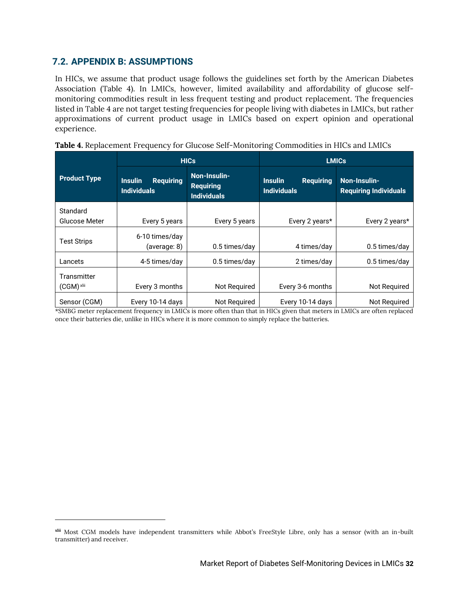#### <span id="page-32-0"></span>**7.2. APPENDIX B: ASSUMPTIONS**

In HICs, we assume that product usage follows the guidelines set forth by the American Diabetes Association (Table 4). In LMICs, however, limited availability and affordability of glucose selfmonitoring commodities result in less frequent testing and product replacement. The frequencies listed in [Table](#page-32-2) 4 are not target testing frequencies for people living with diabetes in LMICs, but rather approximations of current product usage in LMICs based on expert opinion and operational experience.

|                           |                                                          | <b>HICs</b>                                            | <b>LMICs</b>                                             |                                              |  |
|---------------------------|----------------------------------------------------------|--------------------------------------------------------|----------------------------------------------------------|----------------------------------------------|--|
| <b>Product Type</b>       | <b>Requiring</b><br><b>Insulin</b><br><b>Individuals</b> | Non-Insulin-<br><b>Requiring</b><br><b>Individuals</b> | <b>Requiring</b><br><b>Insulin</b><br><b>Individuals</b> | Non-Insulin-<br><b>Requiring Individuals</b> |  |
| Standard                  |                                                          |                                                        |                                                          |                                              |  |
| Glucose Meter             | Every 5 years                                            | Every 5 years                                          | Every 2 years*                                           | Every 2 years*                               |  |
| <b>Test Strips</b>        | 6-10 times/day<br>(average: 8)                           | 0.5 times/day                                          | 4 times/day                                              | 0.5 times/day                                |  |
| Lancets                   | 4-5 times/day                                            | 0.5 times/day                                          | 2 times/day                                              | 0.5 times/day                                |  |
| Transmitter<br>(CGM) xlii | Every 3 months                                           | Not Required                                           | Every 3-6 months                                         | Not Required                                 |  |
| Sensor (CGM)              | Every 10-14 days                                         | Not Required                                           | Every 10-14 days                                         | Not Required                                 |  |

<span id="page-32-2"></span>

| Table 4. Replacement Frequency for Glucose Self-Monitoring Commodities in HICs and LMICs |
|------------------------------------------------------------------------------------------|
|------------------------------------------------------------------------------------------|

<span id="page-32-1"></span>\*SMBG meter replacement frequency in LMICs is more often than that in HICs given that meters in LMICs are often replaced once their batteries die, unlike in HICs where it is more common to simply replace the batteries.

**xlii** Most CGM models have independent transmitters while Abbot's FreeStyle Libre, only has a sensor (with an in-built transmitter) and receiver.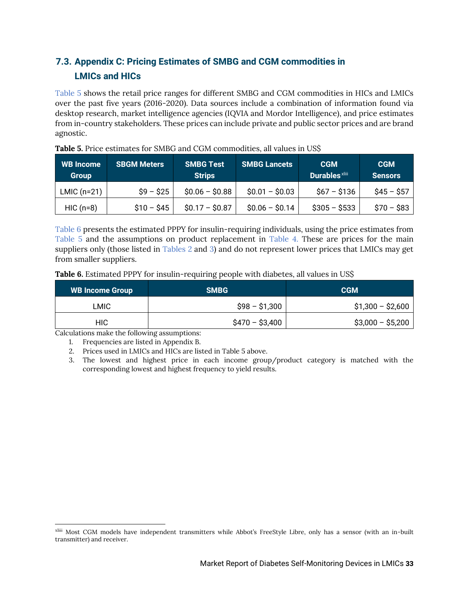### <span id="page-33-0"></span>**7.3. Appendix C: Pricing Estimates of SMBG and CGM commodities in LMICs and HICs**

[Table 5](#page-33-2) shows the retail price ranges for different SMBG and CGM commodities in HICs and LMICs over the past five years (2016-2020). Data sources include a combination of information found via desktop research, market intelligence agencies (IQVIA and Mordor Intelligence), and price estimates from in-country stakeholders. These prices can include private and public sector prices and are brand agnostic.

| <b>WB</b> Income<br><b>Group</b> | <b>SBGM Meters</b> | <b>SMBG Test</b><br><b>Strips</b> | <b>SMBG Lancets</b> | <b>CGM</b><br><b>Durables</b> xliii | <b>CGM</b><br><b>Sensors</b> |
|----------------------------------|--------------------|-----------------------------------|---------------------|-------------------------------------|------------------------------|
| $LMIC$ (n=21)                    | $$9 - $25$         | $$0.06 - $0.88$                   | $$0.01 - $0.03$     | $$67 - $136$                        | $$45 - $57$                  |
| $HIC$ (n=8)                      | $$10 - $45$        | $$0.17 - $0.87$                   | $$0.06 - $0.14$     | $$305 - $533$                       | $$70 - $83$                  |

<span id="page-33-2"></span>**Table 5.** Price estimates for SMBG and CGM commodities, all values in US\$

[Table 6](#page-33-3) presents the estimated PPPY for insulin-requiring individuals, using the price estimates from [Table 5](#page-33-2) and the assumptions on product replacement in [Table 4](#page-32-2). These are prices for the main suppliers only (those listed in [Tables 2](#page-13-0) and 3) and do not represent lower prices that LMICs may get from smaller suppliers.

<span id="page-33-3"></span>**Table 6.** Estimated PPPY for insulin-requiring people with diabetes, all values in US\$

| <b>WB Income Group</b> | <b>SMBG</b>     | <b>CGM</b>        |
|------------------------|-----------------|-------------------|
| LMIC                   | \$98 - \$1,300  | $$1,300 - $2,600$ |
| HIC.                   | $$470 - $3,400$ | $$3,000 - $5,200$ |

<span id="page-33-1"></span>Calculations make the following assumptions:

1. Frequencies are listed in Appendix B.

2. Prices used in LMICs and HICs are listed in Table 5 above.

3. The lowest and highest price in each income group/product category is matched with the corresponding lowest and highest frequency to yield results.

xliii Most CGM models have independent transmitters while Abbot's FreeStyle Libre, only has a sensor (with an in-built transmitter) and receiver.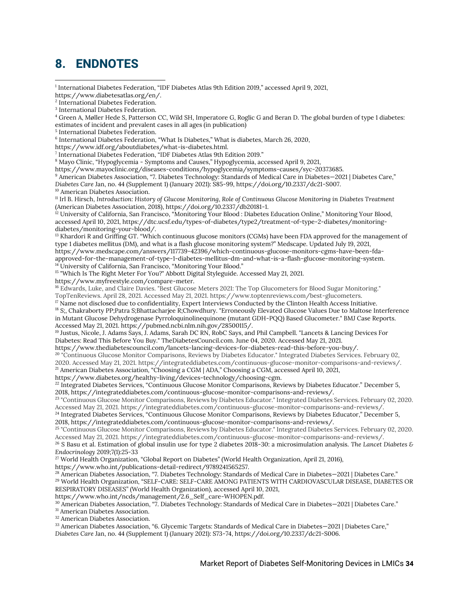### <span id="page-34-0"></span>**8. ENDNOTES**

1 International Diabetes Federation, "IDF Diabetes Atlas 9th Edition 2019," accessed April 9, 2021, https://www.diabetesatlas.org/en/.

2 International Diabetes Federation. 3 International Diabetes Federation.

4 Green A, Møller Hede S, Patterson CC, Wild SH, Imperatore G, Roglic G and Beran D. The global burden of type 1 diabetes: estimates of incident and prevalent cases in all ages (in publication)

5 International Diabetes Federation.

6 International Diabetes Federation, "What Is Diabetes," What is diabetes, March 26, 2020,

https://www.idf.org/aboutdiabetes/what-is-diabetes.html.

7 International Diabetes Federation, "IDF Diabetes Atlas 9th Edition 2019."

<sup>8</sup> Mayo Clinic, "Hypoglycemia - Symptoms and Causes," Hypoglycemia, accessed April 9, 2021,

https://www.mayoclinic.org/diseases-conditions/hypoglycemia/symptoms-causes/syc-20373685.

<sup>9</sup> American Diabetes Association, "7. Diabetes Technology: Standards of Medical Care in Diabetes—2021 | Diabetes Care," *Diabetes Care* Jan, no. 44 (Supplement 1) (January 2021): S85-99, https://doi.org/10.2337/dc21-S007. <sup>10</sup> American Diabetes Association.

<sup>11</sup> Irl B. Hirsch, *Introduction: History of Glucose Monitoring*, *Role of Continuous Glucose Monitoring in Diabetes Treatment* (American Diabetes Association, 2018), https://doi.org/10.2337/db20181-1.

 $^{12}$  University of California, San Francisco, "Monitoring Your Blood : Diabetes Education Online," Monitoring Your Blood, accessed April 10, 2021, https://dtc.ucsf.edu/types-of-diabetes/type2/treatment-of-type-2-diabetes/monitoringdiabetes/monitoring-your-blood/.

<sup>13</sup> Khardori R and Griffing GT. "Which continuous glucose monitors (CGMs) have been FDA approved for the management of type 1 diabetes mellitus (DM), and what is a flash glucose monitoring system?" Medscape. Updated July 19, 2021, https://www.medscape.com/answers/117739-42396/which-continuous-glucose-monitors-cgms-have-been-fda-

approved-for-the-management-of-type-1-diabetes-mellitus-dm-and-what-is-a-flash-glucose-monitoring-system. <sup>14</sup> University of California, San Francisco, "Monitoring Your Blood."

<sup>15</sup> "Which Is The Right Meter For You?" Abbott Digital Styleguide. Accessed May 21, 2021.

https://www.myfreestyle.com/compare-meter.

<sup>16</sup> Edwards, Luke, and Claire Davies. "Best Glucose Meters 2021: The Top Glucometers for Blood Sugar Monitoring." TopTenReviews. April 28, 2021. Accessed May 21, 2021. https://www.toptenreviews.com/best-glucometers.

 $17$  Name not disclosed due to confidentiality, Expert Interviews Conducted by the Clinton Health Access Initiative.

<sup>18</sup> S;, Chakraborty PP;Patra S;Bhattacharjee R;Chowdhury. "Erroneously Elevated Glucose Values Due to Maltose Interference in Mutant Glucose Dehydrogenase Pyrroloquinolinequinone (mutant GDH-PQQ) Based Glucometer." BMJ Case Reports. Accessed May 21, 2021. https://pubmed.ncbi.nlm.nih.gov/28500115/.

<sup>19</sup> Justus, Nicole, J. Adams Says, J. Adams, Sarah DC RN, RobC Says, and Phil Campbell. "Lancets & Lancing Devices For Diabetes: Read This Before You Buy." TheDiabetesCouncil.com. June 04, 2020. Accessed May 21, 2021.

https://www.thediabetescouncil.com/lancets-lancing-devices-for-diabetes-read-this-before-you-buy/.

<sup>20</sup> "Continuous Glucose Monitor Comparisons, Reviews by Diabetes Educator." Integrated Diabetes Services. February 02,

2020. Accessed May 21, 2021. https://integrateddiabetes.com/continuous-glucose-monitor-comparisons-and-reviews/. <sup>21</sup> American Diabetes Association, "Choosing a CGM | ADA," Choosing a CGM, accessed April 10, 2021,

https://www.diabetes.org/healthy-living/devices-technology/choosing-cgm.

<sup>22</sup> Integrated Diabetes Services, "Continuous Glucose Monitor Comparisons, Reviews by Diabetes Educator." December 5, 2018, https://integrateddiabetes.com/continuous-glucose-monitor-comparisons-and-reviews/.

<sup>23</sup> "Continuous Glucose Monitor Comparisons, Reviews by Diabetes Educator." Integrated Diabetes Services. February 02, 2020.

Accessed May 21, 2021. https://integrateddiabetes.com/continuous-glucose-monitor-comparisons-and-reviews/. <sup>24</sup> Integrated Diabetes Services, "Continuous Glucose Monitor Comparisons, Reviews by Diabetes Educator," December 5, 2018, https://integrateddiabetes.com/continuous-glucose-monitor-comparisons-and-reviews/.

<sup>25</sup> "Continuous Glucose Monitor Comparisons, Reviews by Diabetes Educator." Integrated Diabetes Services. February 02, 2020. Accessed May 21, 2021. https://integrateddiabetes.com/continuous-glucose-monitor-comparisons-and-reviews/.

<sup>26</sup> S Basu et al. Estimation of global insulin use for type 2 diabetes 2018-30: a microsimulation analysis. *The Lancet Diabetes & Endocrinology* 2019;7(1):25-33

<sup>27</sup> World Health Organization, "Global Report on Diabetes" (World Health Organization, April 21, 2016),

https://www.who.int/publications-detail-redirect/9789241565257.

<sup>28</sup> American Diabetes Association, "7. Diabetes Technology: Standards of Medical Care in Diabetes—2021 | Diabetes Care." <sup>29</sup> World Health Organization, "SELF-CARE: SELF-CARE AMONG PATIENTS WITH CARDIOVASCULAR DISEASE, DIABETES OR RESPIRATORY DISEASES" (World Health Organization), accessed April 10, 2021,

https://www.who.int/ncds/management/2.6\_Self\_care-WHOPEN.pdf.

<sup>30</sup> American Diabetes Association, "7. Diabetes Technology: Standards of Medical Care in Diabetes—2021 | Diabetes Care."

<sup>31</sup> American Diabetes Association.

<sup>32</sup> American Diabetes Association.

<sup>33</sup> American Diabetes Association, "6. Glycemic Targets: Standards of Medical Care in Diabetes—2021 | Diabetes Care,"

*Diabetes Care* Jan, no. 44 (Supplement 1) (January 2021): S73-74, https://doi.org/10.2337/dc21-S006.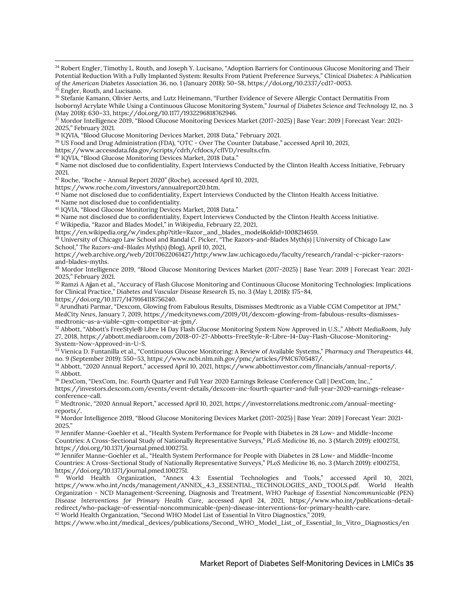<sup>34</sup> Robert Engler, Timothy L. Routh, and Joseph Y. Lucisano, "Adoption Barriers for Continuous Glucose Monitoring and Their Potential Reduction With a Fully Implanted System: Results From Patient Preference Surveys," *Clinical Diabetes: A Publication of the American Diabetes Association* 36, no. 1 (January 2018): 50–58, https://doi.org/10.2337/cd17-0053.

<sup>35</sup> Engler, Routh, and Lucisano.

<sup>36</sup> Stefanie Kamann, Olivier Aerts, and Lutz Heinemann, "Further Evidence of Severe Allergic Contact Dermatitis From Isobornyl Acrylate While Using a Continuous Glucose Monitoring System," *Journal of Diabetes Science and Technology* 12, no. 3 (May 2018): 630–33, https://doi.org/10.1177/1932296818762946.

 $^{37}$  Mordor Intelligence 2019, "Blood Glucose Monitoring Devices Market (2017-2025) | Base Year: 2019 | Forecast Year: 2021-2025," February 2021.

<sup>38</sup> IQVIA, "Blood Glucose Monitoring Devices Market, 2018 Data," February 2021.

<sup>39</sup> US Food and Drug Administration (FDA), "OTC - Over The Counter Database," accessed April 10, 2021,

https://www.accessdata.fda.gov/scripts/cdrh/cfdocs/cfIVD/results.cfm.

<sup>40</sup> IQVIA, "Blood Glucose Monitoring Devices Market, 2018 Data."

<sup>41</sup> Name not disclosed due to confidentiality, Expert Interviews Conducted by the Clinton Health Access Initiative, February 2021.

<sup>42</sup> Roche, "Roche - Annual Report 2020" (Roche), accessed April 10, 2021,

https://www.roche.com/investors/annualreport20.htm.

<sup>43</sup> Name not disclosed due to confidentiality, Expert Interviews Conducted by the Clinton Health Access Initiative.

<sup>44</sup> Name not disclosed due to confidentiality.

<sup>45</sup> IQVIA, "Blood Glucose Monitoring Devices Market, 2018 Data."

<sup>46</sup> Name not disclosed due to confidentiality, Expert Interviews Conducted by the Clinton Health Access Initiative.

<sup>47</sup> Wikipedia, "Razor and Blades Model," in *Wikipedia*, February 22, 2021,

https://en.wikipedia.org/w/index.php?title=Razor\_and\_blades\_model&oldid=1008214659.

<sup>48</sup> University of Chicago Law School and Randal C. Picker, "The Razors-and-Blades Myth(s) | University of Chicago Law School," *The Razors-and-Blades Myth(s)* (blog), April 10, 2021,

https://web.archive.org/web/20170622061427/http:/www.law.uchicago.edu/faculty/research/randal-c-picker-razorsand-blades-myths.

<sup>49</sup> Mordor Intelligence 2019, "Blood Glucose Monitoring Devices Market (2017-2025) | Base Year: 2019 | Forecast Year: 2021- 2025," February 2021.

<sup>50</sup> Ramzi A Ajjan et al., "Accuracy of Flash Glucose Monitoring and Continuous Glucose Monitoring Technologies: Implications for Clinical Practice," *Diabetes and Vascular Disease Research* 15, no. 3 (May 1, 2018): 175–84, https://doi.org/10.1177/1479164118756240.

<sup>51</sup> Arundhati Parmar, "Dexcom, Glowing from Fabulous Results, Dismisses Medtronic as a Viable CGM Competitor at JPM," *MedCity News*, January 7, 2019, https://medcitynews.com/2019/01/dexcom-glowing-from-fabulous-results-dismissesmedtronic-as-a-viable-cgm-competitor-at-jpm/.

<sup>52</sup> Abbott, "Abbott's FreeStyle® Libre 14 Day Flash Glucose Monitoring System Now Approved in U.S.," *Abbott MediaRoom*, July 27, 2018, https://abbott.mediaroom.com/2018-07-27-Abbotts-FreeStyle-R-Libre-14-Day-Flash-Glucose-Monitoring-System-Now-Approved-in-U-S.

<sup>53</sup> Vienica D. Funtanilla et al., "Continuous Glucose Monitoring: A Review of Available Systems," *Pharmacy and Therapeutics* 44, no. 9 (September 2019): 550–53, https://www.ncbi.nlm.nih.gov/pmc/articles/PMC6705487/.

<sup>54</sup> Abbott, "2020 Annual Report," accessed April 10, 2021, https://www.abbottinvestor.com/financials/annual-reports/.  $\mbox{^{55}}$  Abbott.

<sup>56</sup> DexCom, "DexCom, Inc. Fourth Quarter and Full Year 2020 Earnings Release Conference Call | DexCom, Inc.," https://investors.dexcom.com/events/event-details/dexcom-inc-fourth-quarter-and-full-year-2020-earnings-releaseconference-call.

<sup>57</sup> Medtronic, "2020 Annual Report," accessed April 10, 2021, https://investorrelations.medtronic.com/annual-meetingreports/.

<sup>58</sup> Mordor Intelligence 2019, "Blood Glucose Monitoring Devices Market (2017-2025) | Base Year: 2019 | Forecast Year: 2021- 2025."

<sup>59</sup> Jennifer Manne-Goehler et al., "Health System Performance for People with Diabetes in 28 Low- and Middle-Income Countries: A Cross-Sectional Study of Nationally Representative Surveys," *PLoS Medicine* 16, no. 3 (March 2019): e1002751, https://doi.org/10.1371/journal.pmed.1002751.

<sup>60</sup> Jennifer Manne-Goehler et al., "Health System Performance for People with Diabetes in 28 Low- and Middle-Income Countries: A Cross-Sectional Study of Nationally Representative Surveys," *PLoS Medicine* 16, no. 3 (March 2019): e1002751, https://doi.org/10.1371/journal.pmed.1002751.

<sup>61</sup> World Health Organization, "Annex 4.3: Essential Technologies and Tools," accessed April 10, 2021, https://www.who.int/ncds/management/ANNEX\_4.3\_ESSENTIAL\_TECHNOLOGIES\_AND\_TOOLS.pdf. World Health Organization - NCD Management-Screening, Diagnosis and Treatment, *WHO Package of Essential Noncommunicable (PEN) Disease Interventions for Primary Health Care*, accessed April 24, 2021, https://www.who.int/publications-detailredirect/who-package-of-essential-noncommunicable-(pen)-disease-interventions-for-primary-health-care. <sup>62</sup> World Health Organization, "Second WHO Model List of Essential In Vitro Diagnostics," 2019,

https://www.who.int/medical\_devices/publications/Second\_WHO\_Model\_List\_of\_Essential\_In\_Vitro\_Diagnostics/en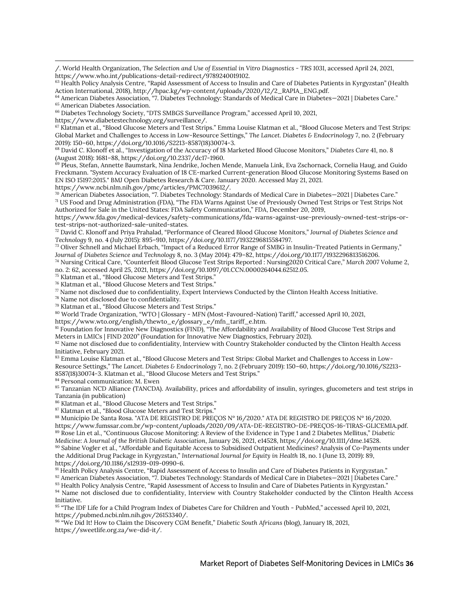/. World Health Organization, *The Selection and Use of Essential in Vitro Diagnostics - TRS 1031*, accessed April 24, 2021, https://www.who.int/publications-detail-redirect/9789240019102.

<sup>64</sup> American Diabetes Association, "7. Diabetes Technology: Standards of Medical Care in Diabetes-2021 | Diabetes Care." <sup>65</sup> American Diabetes Association.

<sup>66</sup> Diabetes Technology Society, "DTS SMBGS Surveillance Program," accessed April 10, 2021,

https://www.diabetestechnology.org/surveillance/.

<sup>67</sup> Klatman et al., "Blood Glucose Meters and Test Strips." Emma Louise Klatman et al., "Blood Glucose Meters and Test Strips: Global Market and Challenges to Access in Low-Resource Settings," *The Lancet. Diabetes & Endocrinology* 7, no. 2 (February 2019): 150–60, https://doi.org/10.1016/S2213-8587(18)30074-3.

<sup>68</sup> David C. Klonoff et al., "Investigation of the Accuracy of 18 Marketed Blood Glucose Monitors," *Diabetes Care* 41, no. 8 (August 2018): 1681–88, https://doi.org/10.2337/dc17-1960.

<sup>69</sup> Pleus, Stefan, Annette Baumstark, Nina Jendrike, Jochen Mende, Manuela Link, Eva Zschornack, Cornelia Haug, and Guido Freckmann. "System Accuracy Evaluation of 18 CE-marked Current-generation Blood Glucose Monitoring Systems Based on EN ISO 15197:2015." BMJ Open Diabetes Research & Care. January 2020. Accessed May 21, 2021.

https://www.ncbi.nlm.nih.gov/pmc/articles/PMC7039612/.

 $70$  American Diabetes Association, "7. Diabetes Technology: Standards of Medical Care in Diabetes—2021 | Diabetes Care." <sup>71</sup> US Food and Drug Administration (FDA), "The FDA Warns Against Use of Previously Owned Test Strips or Test Strips Not Authorized for Sale in the United States: FDA Safety Communication," *FDA*, December 20, 2019,

https://www.fda.gov/medical-devices/safety-communications/fda-warns-against-use-previously-owned-test-strips-ortest-strips-not-authorized-sale-united-states.

<sup>72</sup> David C. Klonoff and Priya Prahalad, "Performance of Cleared Blood Glucose Monitors," *Journal of Diabetes Science and Technology* 9, no. 4 (July 2015): 895–910, https://doi.org/10.1177/1932296815584797.

<sup>73</sup> Oliver Schnell and Michael Erbach, "Impact of a Reduced Error Range of SMBG in Insulin-Treated Patients in Germany," *Journal of Diabetes Science and Technology* 8, no. 3 (May 2014): 479–82, https://doi.org/10.1177/1932296813516206.

<sup>74</sup> Nursing Critical Care, "Counterfeit Blood Glucose Test Strips Reported : Nursing2020 Critical Care," *March 2007* Volume 2, no. 2: 62, accessed April 25, 2021, https://doi.org/10.1097/01.CCN.0000264044.62512.05.

<sup>75</sup> Klatman et al., "Blood Glucose Meters and Test Strips."

<sup>76</sup> Klatman et al., "Blood Glucose Meters and Test Strips."

 $\pi$  Name not disclosed due to confidentiality, Expert Interviews Conducted by the Clinton Health Access Initiative.

<sup>78</sup> Name not disclosed due to confidentiality.

<sup>79</sup> Klatman et al., "Blood Glucose Meters and Test Strips."

<sup>80</sup> World Trade Organization, "WTO | Glossary - MFN (Most-Favoured-Nation) Tariff," accessed April 10, 2021,

https://www.wto.org/english/thewto\_e/glossary\_e/mfn\_tariff\_e.htm.

81 Foundation for Innovative New Diagnostics (FIND), "The Affordability and Availability of Blood Glucose Test Strips and Meters in LMICs | FIND 2020" (Foundation for Innovative New Diagnostics, February 2021).

<sup>82</sup> Name not disclosed due to confidentiality, Interview with Country Stakeholder conducted by the Clinton Health Access Initiative, February 2021.

83 Emma Louise Klatman et al., "Blood Glucose Meters and Test Strips: Global Market and Challenges to Access in Low-Resource Settings," *The Lancet. Diabetes & Endocrinology* 7, no. 2 (February 2019): 150–60, https://doi.org/10.1016/S2213- 8587(18)30074-3. Klatman et al., "Blood Glucose Meters and Test Strips."

<sup>84</sup> Personal communication: M. Ewen

<sup>85</sup> Tanzanian NCD Alliance (TANCDA). Availability, prices and affordability of insulin, syringes, glucometers and test strips in Tanzania (in publication)

<sup>86</sup> Klatman et al., "Blood Glucose Meters and Test Strips."

<sup>87</sup> Klatman et al., "Blood Glucose Meters and Test Strips."

<sup>88</sup> Município De Santa Rosa. "ATA DE REGISTRO DE PREÇOS Nº 16/2020." ATA DE REGISTRO DE PREÇOS Nº 16/2020. https://www.fumssar.com.br/wp-content/uploads/2020/09/ATA-DE-REGISTRO-DE-PREÇOS-16-TIRAS-GLICEMIA.pdf. <sup>89</sup> Rose Lin et al., "Continuous Glucose Monitoring: A Review of the Evidence in Type 1 and 2 Diabetes Mellitus," *Diabetic Medicine: A Journal of the British Diabetic Association*, January 26, 2021, e14528, https://doi.org/10.1111/dme.14528.

<sup>90</sup> Sabine Vogler et al., "Affordable and Equitable Access to Subsidised Outpatient Medicines? Analysis of Co-Payments under the Additional Drug Package in Kyrgyzstan," *International Journal for Equity in Health* 18, no. 1 (June 13, 2019): 89, https://doi.org/10.1186/s12939-019-0990-6.

91 Health Policy Analysis Centre, "Rapid Assessment of Access to Insulin and Care of Diabetes Patients in Kyrgyzstan."

92 American Diabetes Association, "7. Diabetes Technology: Standards of Medical Care in Diabetes-2021 | Diabetes Care."

93 Health Policy Analysis Centre, "Rapid Assessment of Access to Insulin and Care of Diabetes Patients in Kyrgyzstan."

94 Name not disclosed due to confidentiality, Interview with Country Stakeholder conducted by the Clinton Health Access Initiative.

<sup>95</sup> "The IDF Life for a Child Program Index of Diabetes Care for Children and Youth - PubMed," accessed April 10, 2021, https://pubmed.ncbi.nlm.nih.gov/26153340/.

<sup>96</sup> "We Did It! How to Claim the Discovery CGM Benefit," *Diabetic South Africans* (blog), January 18, 2021, https://sweetlife.org.za/we-did-it/.

 $63$  Health Policy Analysis Centre, "Rapid Assessment of Access to Insulin and Care of Diabetes Patients in Kyrgyzstan" (Health Action International, 2018), http://hpac.kg/wp-content/uploads/2020/12/2\_RAPIA\_ENG.pdf.